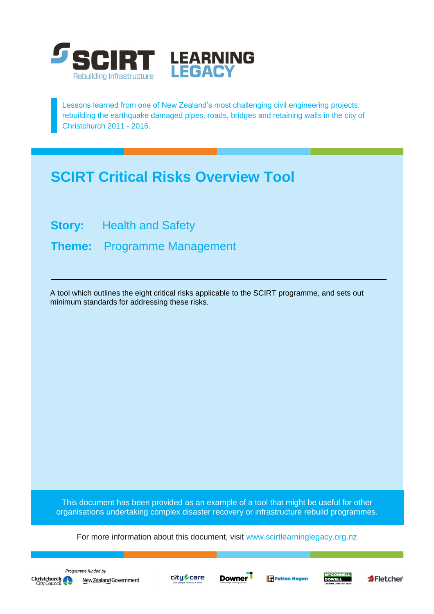

Lessons learned from one of New Zealand's most challenging civil engineering projects: rebuilding the earthquake damaged pipes, roads, bridges and retaining walls in the city of Christchurch 2011 - 2016.

# **SCIRT Critical Risks Overview Tool**

**Story:** Health and Safety

**Theme:** Programme Management

A tool which outlines the eight critical risks applicable to the SCIRT programme, and sets out minimum standards for addressing these risks.

This document has been provided as an example of a tool that might be useful for other organisations undertaking complex disaster recovery or infrastructure rebuild programmes.

For more information about this document, visit [www.scirtlearninglegacy.org.nz](http://www.scirtlearninglegacy.org.nz/)









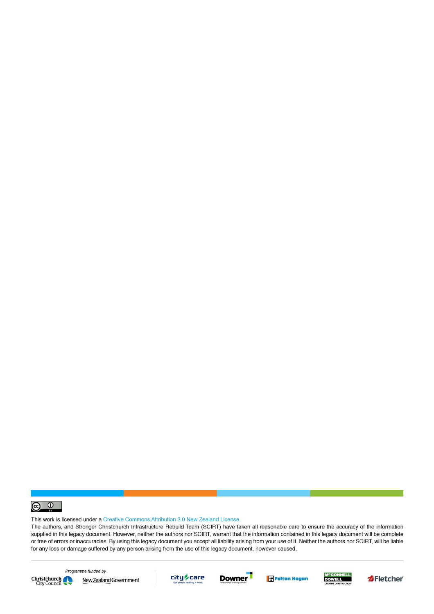

This work is licensed under a Creative Commons Attribution 3.0 New Zealand License.

The authors, and Stronger Christchurch Infrastructure Rebuild Team (SCIRT) have taken all reasonable care to ensure the accuracy of the information supplied in this legacy document. However, neither the authors nor SCIRT, warrant that the information contained in this legacy document will be complete or free of errors or inaccuracies. By using this legacy document you accept all liability arising from your use of it. Neither the authors nor SCIRT, will be liable for any loss or damage suffered by any person arising from the use of this legacy document, however caused.



Programme funded by New Zealand Government









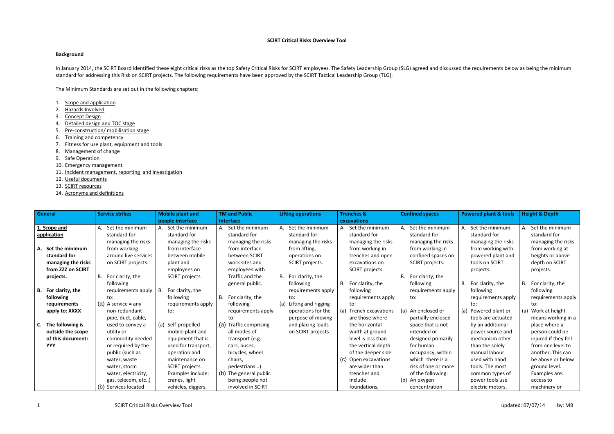### **SCIRT Critical Risks Overview Tool**

## **Background**

In January 2014, the SCIRT Board identified these eight critical risks as the top Safety Critical Risks for SCIRT employees. The Safety Leadership Group (SLG) agreed and discussed the requirements below as being the minimu standard for addressing this Risk on SCIRT projects. The following requirements have been approved by the SCIRT Tactical Leadership Group (TLG).

- 1. Scope and application
- 2. Hazards Involved
- 3. Concept Design
- 4. Detailed design and TOC stage
- 5. Pre-construction/ mobilisation stage
- 6. Training and competency
- 7. Fitness for use plant, equipment and tools
- 8. Management of change
- 9. Safe Operation
- 10. Emergency management
- 11. Incident management, reporting and investigation
- 12. Useful documents
- 13. SCIRT resources
- 14. Acronyms and definitions

The Minimum Standards are set out in the following chapters:

| General                                                                          | <b>Service strikes</b>                                            | <b>Mobile plant and</b>                                       | <b>TM and Public</b>                                                | <b>Lifting operations</b>                                          | <b>Trenches &amp;</b>                                                     | <b>Confined spaces</b>                                      | <b>Powered plant &amp; tools</b>                                      | <b>Height &amp; Depth</b>                                          |
|----------------------------------------------------------------------------------|-------------------------------------------------------------------|---------------------------------------------------------------|---------------------------------------------------------------------|--------------------------------------------------------------------|---------------------------------------------------------------------------|-------------------------------------------------------------|-----------------------------------------------------------------------|--------------------------------------------------------------------|
|                                                                                  |                                                                   | people interface                                              | <b>Interface</b>                                                    |                                                                    | excavations                                                               |                                                             |                                                                       |                                                                    |
| 1. Scope and<br>application                                                      | A. Set the minimum<br>standard for<br>managing the risks          | A. Set the minimum<br>standard for<br>managing the risks      | Set the minimum<br>А.<br>standard for<br>managing the risks         | Set the minimum<br>standard for<br>managing the risks              | A. Set the minimum<br>standard for<br>managing the risks                  | Set the minimum<br>А.<br>standard for<br>managing the risks | Set the minimum<br>standard for<br>managing the risks                 | Set the minimum<br>A.<br>standard for<br>managing the risks        |
| Set the minimum<br>А.<br>standard for<br>managing the risks<br>from ZZZ on SCIRT | from working<br>around live services<br>on SCIRT projects.        | from interface<br>between mobile<br>plant and<br>employees on | from interface<br>between SCIRT<br>work sites and<br>employees with | from lifting,<br>operations on<br>SCIRT projects.                  | from working in<br>trenches and open<br>excavations on<br>SCIRT projects. | from working in<br>confined spaces on<br>SCIRT projects.    | from working with<br>powered plant and<br>tools on SCIRT<br>projects. | from working at<br>heights or above<br>depth on SCIRT<br>projects. |
| projects.                                                                        | B. For clarity, the<br>following                                  | SCIRT projects.                                               | Traffic and the<br>general public.                                  | B. For clarity, the<br>following                                   | For clarity, the<br>B.                                                    | For clarity, the<br>В.<br>following                         | B. For clarity, the                                                   | B. For clarity, the                                                |
| B. For clarity, the<br>following                                                 | requirements apply<br>to:                                         | For clarity, the<br>В.<br>following                           | For clarity, the<br>В.                                              | requirements apply<br>to:                                          | following<br>requirements apply                                           | requirements apply<br>to:                                   | following<br>requirements apply                                       | following<br>requirements apply                                    |
| requirements<br>apply to: XXXX                                                   | (a) A service $=$ any<br>non-redundant<br>pipe, duct, cable,      | requirements apply<br>to:                                     | following<br>requirements apply<br>to:                              | (a) Lifting and rigging<br>operations for the<br>purpose of moving | to:<br>(a) Trench excavations<br>are those where                          | (a) An enclosed or<br>partially enclosed                    | to:<br>(a) Powered plant or<br>tools are actuated                     | to:<br>(a) Work at height<br>means working in a                    |
| The following is<br>C.<br>outside the scope                                      | used to convey a<br>utility or                                    | (a) Self-propelled<br>mobile plant and                        | (a) Traffic comprising<br>all modes of                              | and placing loads<br>on SCIRT projects                             | the horizontal<br>width at ground                                         | space that is not<br>intended or                            | by an additional<br>power source and                                  | place where a<br>person could be                                   |
| of this document:<br><b>YYY</b>                                                  | commodity needed<br>or required by the<br>public (such as         | equipment that is<br>used for transport,<br>operation and     | transport (e.g.:<br>cars, buses,<br>bicycles, wheel                 |                                                                    | level is less than<br>the vertical depth<br>of the deeper side            | designed primarily<br>for human<br>occupancy, within        | mechanism other<br>than the solely<br>manual labour                   | injured if they fell<br>from one level to<br>another. This can     |
|                                                                                  | water, waste<br>water, storm                                      | maintenance on<br>SCIRT projects.                             | chairs,<br>pedestrians)                                             |                                                                    | (c) Open excavations<br>are wider than                                    | which there is a<br>risk of one or more                     | used with hand<br>tools. The most                                     | be above or below<br>ground level.                                 |
|                                                                                  | water, electricity,<br>gas, telecom, etc)<br>(b) Services located | Examples include:<br>cranes, light<br>vehicles, diggers,      | (b) The general public<br>being people not<br>involved in SCIRT     |                                                                    | trenches and<br>include<br>foundations,                                   | of the following:<br>(b) An oxygen<br>concentration         | common types of<br>power tools use<br>electric motors.                | Examples are:<br>access to<br>machinery or                         |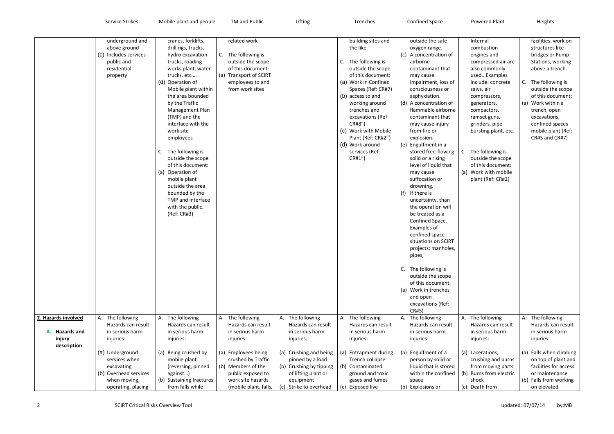|                                                                    | underground and<br>above ground<br>(c) Includes services<br>public and<br>residential<br>property             | cranes, forklifts,<br>drill rigs, trucks,<br>hydro excavation<br>trucks, roading<br>works plant, water<br>trucks, etc<br>(d) Operation of<br>Mobile plant within<br>the area bounded<br>by the Traffic<br>Management Plan<br>(TMP) and the<br>interface with the<br>work site<br>employees<br>The following is<br>C.<br>outside the scope<br>of this document:<br>(a) Operation of<br>mobile plant<br>outside the area<br>bounded by the<br>TMP and interface<br>with the public.<br>(Ref: CR#3) | related work<br>C.<br>The following is<br>outside the scope<br>of this document:<br>(a) Transport of SCIRT<br>employees to and<br>from work sites |                                                                                                                                 | building sites and<br>the like<br>C. The following is<br>outside the scope<br>of this document:<br>(a) Work in Confined<br>Spaces (Ref: CR#7)<br>(b) access to and<br>working around<br>trenches and<br>excavations (Ref:<br>CR#8")<br>(c) Work with Mobile<br>Plant (Ref: CR#2")<br>(d) Work around<br>services (Ref:<br>CR#1" | outside the safe<br>oxygen range.<br>(c) A concentration of<br>airborne<br>contaminant that<br>may cause<br>impairment, loss of<br>consciousness or<br>asphyxiation.<br>(d) A concentration of<br>flammable airborne<br>contaminant that<br>may cause injury<br>from fire or<br>explosion.<br>(e) Engulfment in a<br>stored free-flowing<br>solid or a rising<br>level of liquid that<br>may cause<br>suffocation or<br>drowning.<br>(f) If there is<br>uncertainty, than<br>the operation will<br>be treated as a<br>Confined Space.<br>Examples of<br>confined space<br>situations on SCIRT<br>projects: manholes,<br>pipes,<br>C.<br>The following is<br>outside the scope<br>of this document:<br>(a) Work in trenches<br>and open<br>excavations (Ref: | Internal<br>combustion<br>engines and<br>compressed air are<br>also commonly<br>used Examples<br>include: concrete<br>saws, air<br>compressors,<br>generators,<br>compactors,<br>ramset guns,<br>grinders, pipe<br>bursting plant, etc.<br>C. The following is<br>outside the scope<br>of this document:<br>(a) Work with mobile<br>plant (Ref: CR#2) | facilities, work on<br>structures like<br>bridges or Pump<br>Stations, working<br>above a trench.<br>C. The following is<br>outside the scope<br>of this document:<br>(a) Work within a<br>trench, open<br>excavations,<br>confined spaces<br>mobile plant (Ref:<br>CR#5 and CR#7) |
|--------------------------------------------------------------------|---------------------------------------------------------------------------------------------------------------|--------------------------------------------------------------------------------------------------------------------------------------------------------------------------------------------------------------------------------------------------------------------------------------------------------------------------------------------------------------------------------------------------------------------------------------------------------------------------------------------------|---------------------------------------------------------------------------------------------------------------------------------------------------|---------------------------------------------------------------------------------------------------------------------------------|---------------------------------------------------------------------------------------------------------------------------------------------------------------------------------------------------------------------------------------------------------------------------------------------------------------------------------|-------------------------------------------------------------------------------------------------------------------------------------------------------------------------------------------------------------------------------------------------------------------------------------------------------------------------------------------------------------------------------------------------------------------------------------------------------------------------------------------------------------------------------------------------------------------------------------------------------------------------------------------------------------------------------------------------------------------------------------------------------------|-------------------------------------------------------------------------------------------------------------------------------------------------------------------------------------------------------------------------------------------------------------------------------------------------------------------------------------------------------|------------------------------------------------------------------------------------------------------------------------------------------------------------------------------------------------------------------------------------------------------------------------------------|
| 2. Hazards involved<br><b>Hazards and</b><br>injury<br>description | A. The following<br>Hazards can result<br>in serious harm<br>injuries:                                        | The following<br>A.<br>Hazards can result<br>in serious harm<br>injuries:                                                                                                                                                                                                                                                                                                                                                                                                                        | The following<br>А.<br>Hazards can result<br>in serious harm<br>injuries:                                                                         | A. The following<br>Hazards can result<br>in serious harm<br>injuries:                                                          | A. The following<br>Hazards can result<br>in serious harm<br>injuries:                                                                                                                                                                                                                                                          | CR#5)<br>A. The following<br>Hazards can result<br>in serious harm<br>injuries:                                                                                                                                                                                                                                                                                                                                                                                                                                                                                                                                                                                                                                                                             | A. The following<br>Hazards can result<br>in serious harm<br>injuries:                                                                                                                                                                                                                                                                                | A. The following<br>Hazards can result<br>in serious harm<br>injuries:                                                                                                                                                                                                             |
|                                                                    | (a) Underground<br>services when<br>excavating<br>(b) Overhead services<br>when moving,<br>operating, placing | (a) Being crushed by<br>mobile plant<br>(reversing, pinned<br>against)<br>(b) Sustaining fractures<br>from falls while                                                                                                                                                                                                                                                                                                                                                                           | Employees being<br>(a)<br>crushed by Traffic<br>(b) Members of the<br>public exposed to<br>work site hazards<br>(mobile plant, falls,             | (a) Crushing and being<br>pinned by a load<br>(b) Crushing by tipping<br>of lifting plant or<br>equipment<br>Strike to overhead | (a) Entrapment during<br>Trench collapse<br>(b) Contaminated<br>ground and toxic<br>gases and fumes<br>(c) Exposed live                                                                                                                                                                                                         | (a) Engulfment of a<br>person by solid or<br>liquid that is stored<br>within the confined<br>space<br>(b) Explosions or                                                                                                                                                                                                                                                                                                                                                                                                                                                                                                                                                                                                                                     | (a) Lacerations,<br>crushing and burns<br>from moving parts<br>(b) Burns from electric<br>shock<br>Death from<br>(c)                                                                                                                                                                                                                                  | (a) Falls when climbing<br>on top of plant and<br>facilities for access<br>or maintenance<br>(b) Falls from working<br>on elevated                                                                                                                                                 |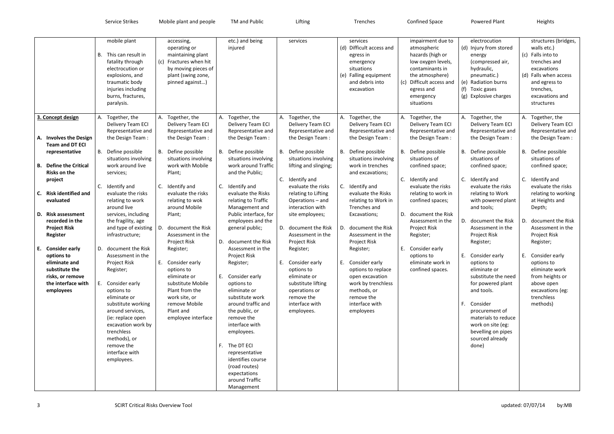Service Strikes Mobile plant and people TM and Public Lifting Lifting Trenches Confined Space Powered Plant Heights

|                                                                                                                                                                                                                                                                                 | mobile plant<br>B. This can result in<br>fatality through<br>electrocution or<br>explosions, and<br>traumatic body<br>injuries including<br>burns, fractures,<br>paralysis.                                                                                                                  | accessing,<br>operating or<br>maintaining plant<br>(c) Fractures when hit<br>by moving pieces of<br>plant (swing zone,<br>pinned against)                                                                                                    | etc.) and being<br>injured                                                                                                                                                                                                                                                                                          | services                                                                                                                                                                                                                                                                 | services<br>(d) Difficult access and<br>egress in<br>emergency<br>situations<br>(e) Falling equipment<br>and debris into<br>excavation                                                                                                                                 | impairment due to<br>atmospheric<br>hazards (high or<br>low oxygen levels,<br>contaminants in<br>the atmosphere)<br>(c)<br>Difficult access and<br>egress and<br>emergency<br>situations                                                                         | electrocution<br>(d) Injury from stored<br>energy<br>(compressed air,<br>hydraulic,<br>pneumatic.)<br>(e) Radiation burns<br>(f) Toxic gases<br>(g) Explosive charges                                                                                  | structures (bridges,<br>walls etc.)<br>(c) Falls into to<br>trenches and<br>excavations<br>(d) Falls when access<br>and egress to<br>trenches,<br>excavations and<br>structures                                                                         |
|---------------------------------------------------------------------------------------------------------------------------------------------------------------------------------------------------------------------------------------------------------------------------------|----------------------------------------------------------------------------------------------------------------------------------------------------------------------------------------------------------------------------------------------------------------------------------------------|----------------------------------------------------------------------------------------------------------------------------------------------------------------------------------------------------------------------------------------------|---------------------------------------------------------------------------------------------------------------------------------------------------------------------------------------------------------------------------------------------------------------------------------------------------------------------|--------------------------------------------------------------------------------------------------------------------------------------------------------------------------------------------------------------------------------------------------------------------------|------------------------------------------------------------------------------------------------------------------------------------------------------------------------------------------------------------------------------------------------------------------------|------------------------------------------------------------------------------------------------------------------------------------------------------------------------------------------------------------------------------------------------------------------|--------------------------------------------------------------------------------------------------------------------------------------------------------------------------------------------------------------------------------------------------------|---------------------------------------------------------------------------------------------------------------------------------------------------------------------------------------------------------------------------------------------------------|
| 3. Concept design<br>A. Involves the Design<br><b>Team and DT ECI</b>                                                                                                                                                                                                           | A. Together, the<br>Delivery Team ECI<br>Representative and<br>the Design Team:                                                                                                                                                                                                              | Together, the<br>А.<br>Delivery Team ECI<br>Representative and<br>the Design Team:                                                                                                                                                           | Together, the<br>А.<br>Delivery Team ECI<br>Representative and<br>the Design Team:                                                                                                                                                                                                                                  | A. Together, the<br>Delivery Team ECI<br>Representative and<br>the Design Team:                                                                                                                                                                                          | A. Together, the<br>Delivery Team ECI<br>Representative and<br>the Design Team:                                                                                                                                                                                        | Together, the<br>А.<br>Delivery Team ECI<br>Representative and<br>the Design Team:                                                                                                                                                                               | A. Together, the<br>Delivery Team ECI<br>Representative and<br>the Design Team:                                                                                                                                                                        | Together, the<br>А.<br>Delivery Team ECI<br>Representative and<br>the Design Team:                                                                                                                                                                      |
| representative<br><b>Define the Critical</b><br>В.<br><b>Risks on the</b><br>project<br><b>Risk identified and</b><br>C.<br>evaluated<br><b>Risk assessment</b><br>D.<br>recorded in the<br><b>Project Risk</b><br><b>Register</b><br><b>Consider early</b><br>Е.<br>options to | B. Define possible<br>situations involving<br>work around live<br>services;<br>C. Identify and<br>evaluate the risks<br>relating to work<br>around live<br>services, including<br>the fragility, age<br>and type of existing<br>infrastructure;<br>D. document the Risk<br>Assessment in the | B. Define possible<br>situations involving<br>work with Mobile<br>Plant;<br>C. Identify and<br>evaluate the risks<br>relating to wok<br>around Mobile<br>Plant;<br>D.<br>document the Risk<br>Assessment in the<br>Project Risk<br>Register; | B. Define possible<br>situations involving<br>work around Traffic<br>and the Public;<br>$C_{\cdot}$<br>Identify and<br>evaluate the Risks<br>relating to Traffic<br>Management and<br>Public interface, for<br>employees and the<br>general public;<br>D.<br>document the Risk<br>Assessment in the<br>Project Risk | B. Define possible<br>situations involving<br>lifting and slinging;<br>C. Identify and<br>evaluate the risks<br>relating to Lifting<br>Operations - and<br>interaction with<br>site employees;<br>D. document the Risk<br>Assessment in the<br>Project Risk<br>Register; | B. Define possible<br>situations involving<br>work in trenches<br>and excavations;<br>C. Identify and<br>evaluate the Risks<br>relating to Work in<br>Trenches and<br>Excavations;<br>document the Risk<br>D.<br>Assessment in the<br><b>Project Risk</b><br>Register; | B. Define possible<br>situations of<br>confined space;<br>C.<br>Identify and<br>evaluate the risks<br>relating to work in<br>confined spaces;<br>D.<br>document the Risk<br>Assessment in the<br>Project Risk<br>Register;<br>Ε.<br>Consider early<br>options to | B. Define possible<br>situations of<br>confined space;<br>C. Identify and<br>evaluate the risks<br>relating to Work<br>with powered plant<br>and tools;<br>D. document the Risk<br>Assessment in the<br>Project Risk<br>Register;<br>E. Consider early | B. Define possible<br>situations of<br>confined space;<br>C. Identify and<br>evaluate the risks<br>relating to working<br>at Heights and<br>Depth;<br>document the Risk<br>D.<br>Assessment in the<br>Project Risk<br>Register;<br>Consider early<br>Е. |
| eliminate and<br>substitute the<br>risks, or remove<br>the interface with<br>employees                                                                                                                                                                                          | Project Risk<br>Register;<br>E. Consider early<br>options to<br>eliminate or<br>substitute working<br>around services,<br>(ie: replace open<br>excavation work by<br>trenchless<br>methods), or<br>remove the<br>interface with<br>employees.                                                | E. Consider early<br>options to<br>eliminate or<br>substitute Mobile<br>Plant from the<br>work site, or<br>remove Mobile<br>Plant and<br>employee interface                                                                                  | Register;<br>E. Consider early<br>options to<br>eliminate or<br>substitute work<br>around traffic and<br>the public, or<br>remove the<br>interface with<br>employees.<br>F. The DT ECI<br>representative<br>identifies course<br>(road routes)<br>expectations<br>around Traffic<br>Management                      | E. Consider early<br>options to<br>eliminate or<br>substitute lifting<br>operations or<br>remove the<br>interface with<br>employees.                                                                                                                                     | E. Consider early<br>options to replace<br>open excavation<br>work by trenchless<br>methods, or<br>remove the<br>interface with<br>employees                                                                                                                           | eliminate work in<br>confined spaces.                                                                                                                                                                                                                            | options to<br>eliminate or<br>substitute the need<br>for powered plant<br>and tools.<br>F. Consider<br>procurement of<br>materials to reduce<br>work on site (eg:<br>bevelling on pipes<br>sourced already<br>done)                                    | options to<br>eliminate work<br>from heights or<br>above open<br>excavations (eg:<br>trenchless<br>methods)                                                                                                                                             |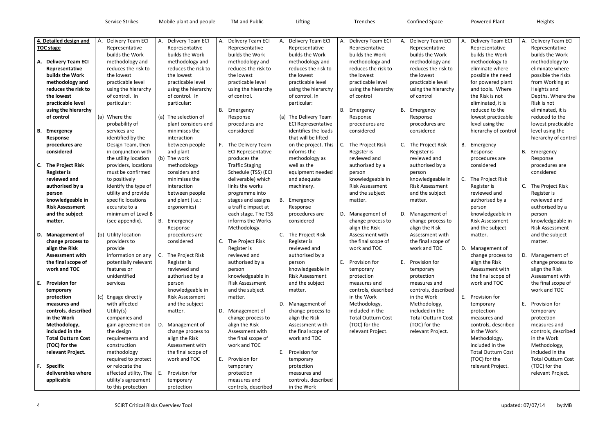Service Strikes Mobile plant and people TM and Public Lifting Lifting Trenches Confined Space Powered Plant Heights

|    | 4. Detailed design and             | A. Delivery Team ECI                | А. | Delivery Team ECI           | А. | Delivery Team ECI         | A. Delivery Team ECI       | А. | Delivery Team ECI         | А. | Delivery Team ECI                  | А. | Delivery Team ECI         | А. | Delivery Team ECI                   |
|----|------------------------------------|-------------------------------------|----|-----------------------------|----|---------------------------|----------------------------|----|---------------------------|----|------------------------------------|----|---------------------------|----|-------------------------------------|
|    | <b>TOC stage</b>                   | Representative                      |    | Representative              |    | Representative            | Representative             |    | Representative            |    | Representative                     |    | Representative            |    | Representative                      |
|    |                                    | builds the Work                     |    | builds the Work             |    | builds the Work           | builds the Work            |    | builds the Work           |    | builds the Work                    |    | builds the Work           |    | builds the Work                     |
|    | A. Delivery Team ECI               | methodology and                     |    | methodology and             |    | methodology and           | methodology and            |    | methodology and           |    | methodology and                    |    | methodology to            |    | methodology to                      |
|    | Representative                     | reduces the risk to                 |    | reduces the risk to         |    | reduces the risk to       | reduces the risk to        |    | reduces the risk to       |    | reduces the risk to                |    | eliminate where           |    | eliminate where                     |
|    | builds the Work                    | the lowest                          |    | the lowest                  |    | the lowest                | the lowest                 |    | the lowest                |    | the lowest                         |    | possible the need         |    | possible the risks                  |
|    | methodology and                    | practicable level                   |    | practicable level           |    | practicable level         | practicable level          |    | practicable level         |    | practicable level                  |    | for powered plant         |    | from Working at                     |
|    | reduces the risk to                | using the hierarchy                 |    | using the hierarchy         |    | using the hierarchy       | using the hierarchy        |    | using the hierarchy       |    | using the hierarchy                |    | and tools. Where          |    | Heights and                         |
|    | the lowest                         | of control. In                      |    | of control. In              |    | of control.               | of control. In             |    | of control                |    | of control                         |    | the Risk is not           |    | Depths. Where the                   |
|    | practicable level                  | particular:                         |    | particular:                 |    |                           | particular:                |    |                           |    |                                    |    | eliminated, it is         |    | Risk is not                         |
|    | using the hierarchy                |                                     |    |                             |    | B. Emergency              |                            | В. | Emergency                 |    | B. Emergency                       |    | reduced to the            |    | eliminated, it is                   |
|    | of control                         | (a) Where the                       |    | (a) The selection of        |    | Response                  | (a) The Delivery Team      |    | Response                  |    | Response                           |    | lowest practicable        |    | reduced to the                      |
|    |                                    | probability of                      |    | plant considers and         |    | procedures are            | <b>ECI Representative</b>  |    | procedures are            |    | procedures are                     |    | level using the           |    | lowest practicable                  |
|    | <b>B.</b> Emergency                | services are                        |    | minimises the               |    | considered                | identifies the loads       |    | considered                |    | considered                         |    | hierarchy of control      |    | level using the                     |
|    | Response                           | identified by the                   |    | interaction                 |    |                           | that will be lifted        |    |                           |    |                                    |    |                           |    | hierarchy of control                |
|    | procedures are                     | Design Team, then                   |    | between people              | F. | The Delivery Team         | on the project. This       |    | The Project Risk          | C. | The Project Risk                   | В. | Emergency                 |    |                                     |
|    | considered                         | in conjunction with                 |    | and plant                   |    | <b>ECI Representative</b> | informs the                |    | Register is               |    | Register is                        |    | Response                  | В. | Emergency                           |
|    |                                    | the utility location                |    | (b) The work                |    | produces the              | methodology as             |    | reviewed and              |    | reviewed and                       |    | procedures are            |    | Response                            |
| C. | <b>The Project Risk</b>            | providers, locations                |    | methodology                 |    | <b>Traffic Staging</b>    | well as the                |    | authorised by a           |    | authorised by a                    |    | considered                |    | procedures are                      |
|    | <b>Register is</b>                 | must be confirmed                   |    | considers and               |    | Schedule (TSS) (ECI       | equipment needed           |    | person                    |    | person                             |    |                           |    | considered                          |
|    | reviewed and                       | to positively                       |    | minimises the               |    | deliverable) which        | and adequate               |    | knowledgeable in          |    | knowledgeable in                   |    | C. The Project Risk       |    |                                     |
|    | authorised by a                    | identify the type of                |    | interaction                 |    | links the works           | machinery.                 |    | <b>Risk Assessment</b>    |    | <b>Risk Assessment</b>             |    | Register is               | C. | The Project Risk                    |
|    | person                             | utility and provide                 |    | between people              |    | programme into            |                            |    | and the subject           |    | and the subject                    |    | reviewed and              |    | Register is                         |
|    | knowledgeable in                   | specific locations                  |    | and plant (i.e.:            |    | stages and assigns        | B. Emergency               |    | matter.                   |    | matter.                            |    | authorised by a           |    | reviewed and                        |
|    | <b>Risk Assessment</b>             | accurate to a                       |    | ergonomics)                 |    | a traffic impact at       | Response                   |    |                           |    |                                    |    | person                    |    | authorised by a                     |
|    | and the subject                    | minimum of Level B                  |    |                             |    | each stage. The TSS       | procedures are             | D. | Management of             |    | D. Management of                   |    | knowledgeable in          |    | person                              |
|    | matter.                            | (see appendix).                     | В. | Emergency                   |    | informs the Works         | considered                 |    | change process to         |    | change process to                  |    | <b>Risk Assessment</b>    |    | knowledgeable in                    |
|    |                                    |                                     |    | Response                    |    | Methodology.              |                            |    | align the Risk            |    | align the Risk                     |    | and the subject           |    | <b>Risk Assessment</b>              |
|    | D. Management of                   | (b) Utility location                |    | procedures are              |    |                           | C. The Project Risk        |    | Assessment with           |    | Assessment with                    |    | matter.                   |    | and the subject                     |
|    | change process to                  | providers to                        |    | considered                  |    | C. The Project Risk       | Register is                |    | the final scope of        |    | the final scope of                 |    |                           |    | matter.                             |
|    | align the Risk                     | provide                             |    |                             |    | Register is               | reviewed and               |    | work and TOC              |    | work and TOC                       |    | D. Management of          |    |                                     |
|    | <b>Assessment with</b>             | information on any                  |    | The Project Risk            |    | reviewed and              | authorised by a            |    |                           |    |                                    |    | change process to         | D. | Management of                       |
|    |                                    |                                     | C. |                             |    |                           |                            | Е. | Provision for             | Е. | Provision for                      |    | align the Risk            |    |                                     |
|    | the final scope of<br>work and TOC | potentially relevant<br>features or |    | Register is<br>reviewed and |    | authorised by a           | person<br>knowledgeable in |    |                           |    |                                    |    | Assessment with           |    | change process to<br>align the Risk |
|    |                                    | unidentified                        |    |                             |    | person                    | <b>Risk Assessment</b>     |    | temporary                 |    | temporary                          |    |                           |    |                                     |
|    |                                    |                                     |    | authorised by a             |    | knowledgeable in          |                            |    | protection                |    | protection                         |    | the final scope of        |    | Assessment with                     |
|    | E. Provision for                   | services                            |    | person                      |    | <b>Risk Assessment</b>    | and the subject            |    | measures and              |    | measures and                       |    | work and TOC              |    | the final scope of                  |
|    | temporary                          |                                     |    | knowledgeable in            |    | and the subject           | matter.                    |    | controls, described       |    | controls, described<br>in the Work |    |                           |    | work and TOC                        |
|    | protection                         | (c) Engage directly                 |    | <b>Risk Assessment</b>      |    | matter.                   |                            |    | in the Work               |    |                                    |    | E. Provision for          |    |                                     |
|    | measures and                       | with affected                       |    | and the subject             |    |                           | D. Management of           |    | Methodology,              |    | Methodology,                       |    | temporary                 | Е. | Provision for                       |
|    | controls, described                | Utility(s)                          |    | matter.                     |    | D. Management of          | change process to          |    | included in the           |    | included in the                    |    | protection                |    | temporary                           |
|    | in the Work                        | companies and                       |    |                             |    | change process to         | align the Risk             |    | <b>Total Outturn Cost</b> |    | <b>Total Outturn Cost</b>          |    | measures and              |    | protection                          |
|    | Methodology,                       | gain agreement on                   |    | D. Management of            |    | align the Risk            | Assessment with            |    | (TOC) for the             |    | (TOC) for the                      |    | controls, described       |    | measures and                        |
|    | included in the                    | the design                          |    | change process to           |    | Assessment with           | the final scope of         |    | relevant Project.         |    | relevant Project.                  |    | in the Work               |    | controls, described                 |
|    | <b>Total Outturn Cost</b>          | requirements and                    |    | align the Risk              |    | the final scope of        | work and TOC               |    |                           |    |                                    |    | Methodology,              |    | in the Work                         |
|    | (TOC) for the                      | construction                        |    | Assessment with             |    | work and TOC              |                            |    |                           |    |                                    |    | included in the           |    | Methodology,                        |
|    | relevant Project.                  | methodology                         |    | the final scope of          |    |                           | E. Provision for           |    |                           |    |                                    |    | <b>Total Outturn Cost</b> |    | included in the                     |
|    |                                    | required to protect                 |    | work and TOC                |    | E. Provision for          | temporary                  |    |                           |    |                                    |    | (TOC) for the             |    | <b>Total Outturn Cost</b>           |
|    | F. Specific                        | or relocate the                     |    |                             |    | temporary                 | protection                 |    |                           |    |                                    |    | relevant Project.         |    | (TOC) for the                       |
|    | deliverables where                 | affected utility, The               | E. | Provision for               |    | protection                | measures and               |    |                           |    |                                    |    |                           |    | relevant Project.                   |
|    | applicable                         | utility's agreement                 |    | temporary                   |    | measures and              | controls, described        |    |                           |    |                                    |    |                           |    |                                     |
|    |                                    | to this protection                  |    | protection                  |    | controls, described       | in the Work                |    |                           |    |                                    |    |                           |    |                                     |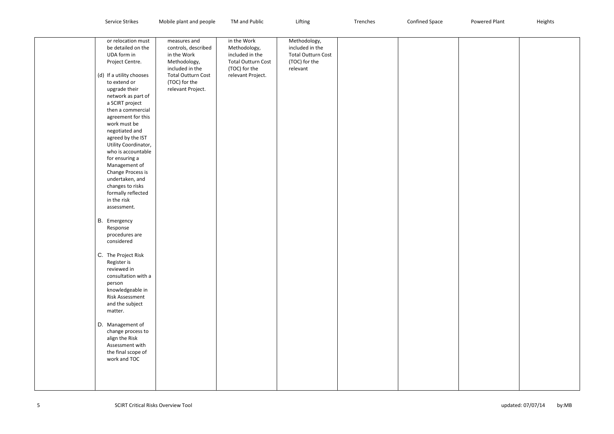| <b>Strike</b><br>Nerviu. | l people<br>المتحاجب والمراد<br>$^{\circ}$ $^{\circ}$ $\sim$ $\sim$<br>,,,,,,<br>៴៲៴៷៲៲៶<br>. | TM and Public | iftin. | <b>Trenches</b> | contin<br>าed Space | Powered Plan+<br>ייטו | <b>Heights</b> |
|--------------------------|-----------------------------------------------------------------------------------------------|---------------|--------|-----------------|---------------------|-----------------------|----------------|
|--------------------------|-----------------------------------------------------------------------------------------------|---------------|--------|-----------------|---------------------|-----------------------|----------------|

| or relocation must<br>be detailed on the<br>UDA form in<br>Project Centre.<br>(d) If a utility chooses<br>to extend or<br>upgrade their<br>network as part of<br>a SCIRT project<br>then a commercial<br>agreement for this<br>work must be<br>negotiated and<br>agreed by the IST<br>Utility Coordinator,<br>who is accountable<br>for ensuring a<br>Management of<br>Change Process is<br>undertaken, and<br>changes to risks<br>formally reflected<br>in the risk<br>assessment.<br>B. Emergency<br>Response<br>procedures are<br>considered<br>C. The Project Risk<br>Register is<br>reviewed in<br>consultation with a<br>person<br>knowledgeable in<br><b>Risk Assessment</b><br>and the subject<br>matter.<br>D. Management of<br>change process to<br>align the Risk<br>Assessment with<br>the final scope of<br>work and TOC | measures and<br>controls, described<br>in the Work<br>Methodology,<br>included in the<br><b>Total Outturn Cost</b><br>(TOC) for the<br>relevant Project. | in the Work<br>Methodology,<br>included in the<br><b>Total Outturn Cost</b><br>(TOC) for the<br>relevant Project. | Methodology,<br>included in the<br><b>Total Outturn Cost</b><br>(TOC) for the<br>relevant |  |
|---------------------------------------------------------------------------------------------------------------------------------------------------------------------------------------------------------------------------------------------------------------------------------------------------------------------------------------------------------------------------------------------------------------------------------------------------------------------------------------------------------------------------------------------------------------------------------------------------------------------------------------------------------------------------------------------------------------------------------------------------------------------------------------------------------------------------------------|----------------------------------------------------------------------------------------------------------------------------------------------------------|-------------------------------------------------------------------------------------------------------------------|-------------------------------------------------------------------------------------------|--|

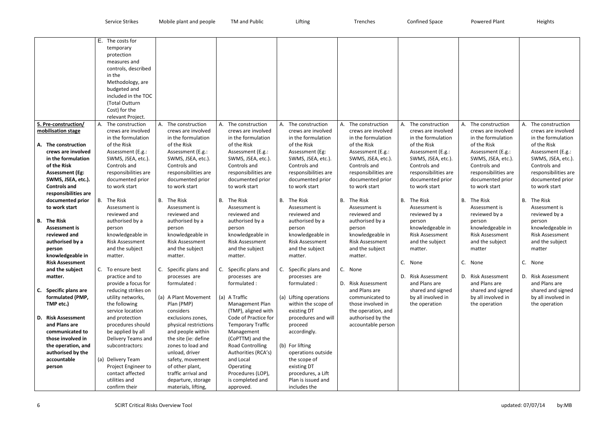|    |                        | E. The costs for                        |    |                                    |           |                          |    |                                    |                                    |                        |                        |                        |
|----|------------------------|-----------------------------------------|----|------------------------------------|-----------|--------------------------|----|------------------------------------|------------------------------------|------------------------|------------------------|------------------------|
|    |                        | temporary                               |    |                                    |           |                          |    |                                    |                                    |                        |                        |                        |
|    |                        | protection                              |    |                                    |           |                          |    |                                    |                                    |                        |                        |                        |
|    |                        | measures and                            |    |                                    |           |                          |    |                                    |                                    |                        |                        |                        |
|    |                        | controls, described                     |    |                                    |           |                          |    |                                    |                                    |                        |                        |                        |
|    |                        | in the                                  |    |                                    |           |                          |    |                                    |                                    |                        |                        |                        |
|    |                        | Methodology, are                        |    |                                    |           |                          |    |                                    |                                    |                        |                        |                        |
|    |                        | budgeted and                            |    |                                    |           |                          |    |                                    |                                    |                        |                        |                        |
|    |                        | included in the TOC                     |    |                                    |           |                          |    |                                    |                                    |                        |                        |                        |
|    |                        | (Total Outturn                          |    |                                    |           |                          |    |                                    |                                    |                        |                        |                        |
|    |                        | Cost) for the                           |    |                                    |           |                          |    |                                    |                                    |                        |                        |                        |
|    |                        | relevant Project.                       |    |                                    |           |                          |    |                                    |                                    |                        |                        |                        |
|    | 5. Pre-construction/   | A. The construction                     |    | A. The construction                | А.        | The construction         |    | A. The construction                | A. The construction                | A. The construction    | A. The construction    | A. The construction    |
|    | mobilisation stage     | crews are involved                      |    | crews are involved                 |           | crews are involved       |    | crews are involved                 | crews are involved                 | crews are involved     | crews are involved     | crews are involved     |
|    |                        | in the formulation                      |    | in the formulation                 |           | in the formulation       |    | in the formulation                 | in the formulation                 | in the formulation     | in the formulation     | in the formulation     |
|    | A. The construction    | of the Risk                             |    | of the Risk                        |           | of the Risk              |    | of the Risk                        | of the Risk                        | of the Risk            | of the Risk            | of the Risk            |
|    | crews are involved     | Assessment (E.g.:                       |    | Assessment (E.g.:                  |           | Assessment (E.g.:        |    | Assessment (Eg:                    | Assessment (E.g.:                  | Assessment (E.g.:      | Assessment (E.g.:      | Assessment (E.g.:      |
|    | in the formulation     | SWMS, JSEA, etc.).                      |    |                                    |           | SWMS, JSEA, etc.).       |    |                                    |                                    | SWMS, JSEA, etc.).     | SWMS, JSEA, etc.).     | SWMS, JSEA, etc.).     |
|    | of the Risk            | Controls and                            |    | SWMS, JSEA, etc.).<br>Controls and |           | Controls and             |    | SWMS, JSEA, etc.).<br>Controls and | SWMS, JSEA, etc.).<br>Controls and | Controls and           | Controls and           | Controls and           |
|    |                        |                                         |    |                                    |           |                          |    |                                    |                                    |                        |                        |                        |
|    | <b>Assessment (Eg:</b> | responsibilities are                    |    | responsibilities are               |           | responsibilities are     |    | responsibilities are               | responsibilities are               | responsibilities are   | responsibilities are   | responsibilities are   |
|    | SWMS, JSEA, etc.).     | documented prior                        |    | documented prior                   |           | documented prior         |    | documented prior                   | documented prior                   | documented prior       | documented prior       | documented prior       |
|    | <b>Controls and</b>    | to work start                           |    | to work start                      |           | to work start            |    | to work start                      | to work start                      | to work start          | to work start          | to work start          |
|    | responsibilities are   |                                         |    |                                    |           |                          |    |                                    |                                    |                        |                        |                        |
|    | documented prior       | B. The Risk                             |    | <b>B.</b> The Risk                 | <b>B.</b> | The Risk                 |    | B. The Risk                        | B. The Risk                        | B. The Risk            | B. The Risk            | B. The Risk            |
|    | to work start          | Assessment is                           |    | Assessment is                      |           | Assessment is            |    | Assessment is                      | Assessment is                      | Assessment is          | Assessment is          | Assessment is          |
|    |                        | reviewed and                            |    | reviewed and                       |           | reviewed and             |    | reviewed and                       | reviewed and                       | reviewed by a          | reviewed by a          | reviewed by a          |
|    | <b>B.</b> The Risk     | authorised by a                         |    | authorised by a                    |           | authorised by a          |    | authorised by a                    | authorised by a                    | person                 | person                 | person                 |
|    | <b>Assessment is</b>   | person                                  |    | person                             |           | person                   |    | person                             | person                             | knowledgeable in       | knowledgeable in       | knowledgeable in       |
|    | reviewed and           | knowledgeable in                        |    | knowledgeable in                   |           | knowledgeable in         |    | knowledgeable in                   | knowledgeable in                   | <b>Risk Assessment</b> | <b>Risk Assessment</b> | <b>Risk Assessment</b> |
|    | authorised by a        | <b>Risk Assessment</b>                  |    | <b>Risk Assessment</b>             |           | <b>Risk Assessment</b>   |    | <b>Risk Assessment</b>             | <b>Risk Assessment</b>             | and the subject        | and the subject        | and the subject        |
|    | person                 | and the subject                         |    | and the subject                    |           | and the subject          |    | and the subject                    | and the subject                    | matter.                | matter                 | matter                 |
|    | knowledgeable in       | matter.                                 |    | matter.                            |           | matter.                  |    | matter.                            | matter.                            |                        |                        |                        |
|    | <b>Risk Assessment</b> |                                         |    |                                    |           |                          |    |                                    |                                    | C. None                | C. None                | C. None                |
|    | and the subject        | To ensure best                          | C. | Specific plans and                 | C.        | Specific plans and       | C. | Specific plans and                 | C. None                            |                        |                        |                        |
|    | matter.                | practice and to                         |    | processes are                      |           | processes are            |    | processes are                      |                                    | D. Risk Assessment     | D. Risk Assessment     | D. Risk Assessment     |
|    |                        | provide a focus for                     |    | formulated:                        |           | formulated:              |    | formulated:                        | D. Risk Assessment                 | and Plans are          | and Plans are          | and Plans are          |
| C. | Specific plans are     | reducing strikes on                     |    |                                    |           |                          |    |                                    | and Plans are                      | shared and signed      | shared and signed      | shared and signed      |
|    | formulated (PMP,       | utility networks,                       |    | (a) A Plant Movement               |           | (a) A Traffic            |    | (a) Lifting operations             | communicated to                    | by all involved in     | by all involved in     | by all involved in     |
|    | TMP etc.)              | the following                           |    | Plan (PMP)                         |           | Management Plan          |    | within the scope of                | those involved in                  | the operation          | the operation          | the operation          |
|    |                        | service location                        |    | considers                          |           | (TMP), aligned with      |    | existing DT                        | the operation, and                 |                        |                        |                        |
| D. | <b>Risk Assessment</b> | and protection                          |    | exclusions zones,                  |           | Code of Practice for     |    | procedures and will                | authorised by the                  |                        |                        |                        |
|    | and Plans are          | procedures should                       |    | physical restrictions              |           | <b>Temporary Traffic</b> |    | proceed                            | accountable person                 |                        |                        |                        |
|    | communicated to        | be applied by all                       |    | and people within                  |           | Management               |    | accordingly.                       |                                    |                        |                        |                        |
|    | those involved in      | Delivery Teams and                      |    | the site (ie: define               |           | (CoPTTM) and the         |    |                                    |                                    |                        |                        |                        |
|    | the operation, and     | subcontractors:                         |    | zones to load and                  |           | <b>Road Controlling</b>  |    | (b) For lifting                    |                                    |                        |                        |                        |
|    | authorised by the      |                                         |    | unload, driver                     |           | Authorities (RCA's)      |    |                                    |                                    |                        |                        |                        |
|    | accountable            | (a) Delivery Team                       |    | safety, movement                   |           | and Local                |    | operations outside<br>the scope of |                                    |                        |                        |                        |
|    |                        |                                         |    |                                    |           |                          |    | existing DT                        |                                    |                        |                        |                        |
|    | person                 | Project Engineer to<br>contact affected |    | of other plant,                    |           | Operating                |    |                                    |                                    |                        |                        |                        |
|    |                        |                                         |    | traffic arrival and                |           | Procedures (LOP),        |    | procedures, a Lift                 |                                    |                        |                        |                        |
|    |                        | utilities and                           |    | departure, storage                 |           | is completed and         |    | Plan is issued and                 |                                    |                        |                        |                        |
|    |                        | confirm their                           |    | materials, lifting,                |           | approved.                |    | includes the                       |                                    |                        |                        |                        |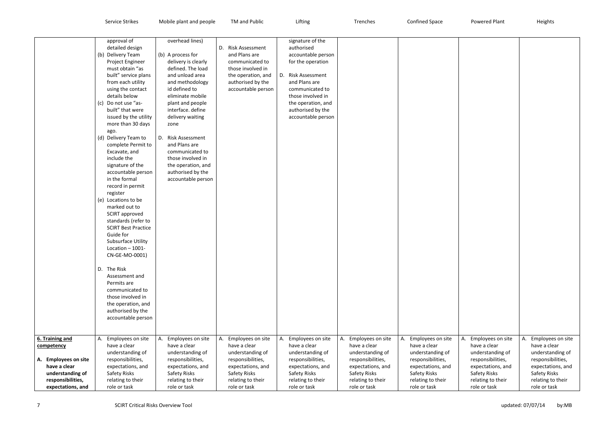|                      | approval of<br>detailed design | overhead lines)         | D.<br><b>Risk Assessment</b> | signature of the<br>authorised |                         |                         |    |
|----------------------|--------------------------------|-------------------------|------------------------------|--------------------------------|-------------------------|-------------------------|----|
|                      | Delivery Team<br>(b)           | (b) A process for       | and Plans are                | accountable person             |                         |                         |    |
|                      | Project Engineer               | delivery is clearly     | communicated to              | for the operation              |                         |                         |    |
|                      | must obtain "as                | defined. The load       | those involved in            |                                |                         |                         |    |
|                      | built" service plans           | and unload area         | the operation, and           | D. Risk Assessment             |                         |                         |    |
|                      | from each utility              | and methodology         | authorised by the            | and Plans are                  |                         |                         |    |
|                      | using the contact              | id defined to           | accountable person           | communicated to                |                         |                         |    |
|                      | details below                  | eliminate mobile        |                              | those involved in              |                         |                         |    |
|                      | Do not use "as-<br>(c)         | plant and people        |                              | the operation, and             |                         |                         |    |
|                      | built" that were               | interface. define       |                              | authorised by the              |                         |                         |    |
|                      | issued by the utility          | delivery waiting        |                              | accountable person             |                         |                         |    |
|                      | more than 30 days              | zone                    |                              |                                |                         |                         |    |
|                      | ago.                           |                         |                              |                                |                         |                         |    |
|                      | Delivery Team to<br>(d)        | D. Risk Assessment      |                              |                                |                         |                         |    |
|                      | complete Permit to             | and Plans are           |                              |                                |                         |                         |    |
|                      | Excavate, and                  | communicated to         |                              |                                |                         |                         |    |
|                      | include the                    | those involved in       |                              |                                |                         |                         |    |
|                      | signature of the               | the operation, and      |                              |                                |                         |                         |    |
|                      | accountable person             | authorised by the       |                              |                                |                         |                         |    |
|                      | in the formal                  | accountable person      |                              |                                |                         |                         |    |
|                      | record in permit               |                         |                              |                                |                         |                         |    |
|                      | register                       |                         |                              |                                |                         |                         |    |
|                      | Locations to be<br>(e)         |                         |                              |                                |                         |                         |    |
|                      | marked out to                  |                         |                              |                                |                         |                         |    |
|                      | <b>SCIRT</b> approved          |                         |                              |                                |                         |                         |    |
|                      | standards (refer to            |                         |                              |                                |                         |                         |    |
|                      | <b>SCIRT Best Practice</b>     |                         |                              |                                |                         |                         |    |
|                      | Guide for                      |                         |                              |                                |                         |                         |    |
|                      | <b>Subsurface Utility</b>      |                         |                              |                                |                         |                         |    |
|                      | Location - 1001-               |                         |                              |                                |                         |                         |    |
|                      | CN-GE-MO-0001)                 |                         |                              |                                |                         |                         |    |
|                      | The Risk<br>D.                 |                         |                              |                                |                         |                         |    |
|                      | Assessment and                 |                         |                              |                                |                         |                         |    |
|                      | Permits are                    |                         |                              |                                |                         |                         |    |
|                      | communicated to                |                         |                              |                                |                         |                         |    |
|                      | those involved in              |                         |                              |                                |                         |                         |    |
|                      | the operation, and             |                         |                              |                                |                         |                         |    |
|                      | authorised by the              |                         |                              |                                |                         |                         |    |
|                      | accountable person             |                         |                              |                                |                         |                         |    |
|                      |                                |                         |                              |                                |                         |                         |    |
| 6. Training and      | Employees on site<br>А.        | Employees on site<br>Α. | Employees on site<br>Α.      | Employees on site<br>А.        | Employees on site<br>А. | Employees on site<br>А. | Α. |
| competency           | have a clear                   | have a clear            | have a clear                 | have a clear                   | have a clear            | have a clear            |    |
|                      | understanding of               | understanding of        | understanding of             | understanding of               | understanding of        | understanding of        |    |
| A. Employees on site | responsibilities,              | responsibilities,       | responsibilities,            | responsibilities,              | responsibilities,       | responsibilities,       |    |
| have a clear         | expectations, and              | expectations, and       | expectations, and            | expectations, and              | expectations, and       | expectations, and       |    |
| understanding of     | Safety Risks                   | Safety Risks            | Safety Risks                 | Safety Risks                   | Safety Risks            | Safety Risks            |    |
| responsibilities,    | relating to their              | relating to their       | relating to their            | relating to their              | relating to their       | relating to their       |    |
| expectations, and    | role or task                   | role or task            | role or task                 | role or task                   | role or task            | role or task            |    |

| Employees on site<br>А.           | А.<br>Employees on site           |
|-----------------------------------|-----------------------------------|
| have a clear                      | have a clear                      |
| understanding of                  | understanding of                  |
| responsibilities,                 | responsibilities,                 |
| expectations, and<br>Safety Risks | expectations, and<br>Safety Risks |
| relating to their                 | relating to their                 |
| role or task                      | role or task                      |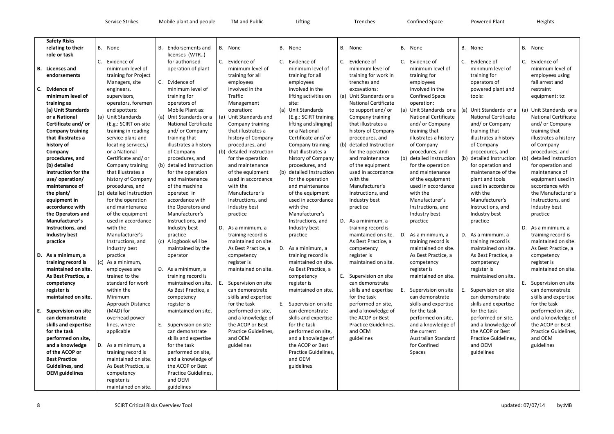| <b>Confined Space</b> |  |
|-----------------------|--|

| <b>Safety Risks</b>     |     |                          |     |                             |                          |    |                          |    |                             |    |                             |           |
|-------------------------|-----|--------------------------|-----|-----------------------------|--------------------------|----|--------------------------|----|-----------------------------|----|-----------------------------|-----------|
| relating to their       |     | B. None                  | В.  | Endorsements and            | B. None                  |    | B. None                  |    | B. None                     |    | B. None                     | <b>B.</b> |
| role or task            |     |                          |     | licenses (WTR)              |                          |    |                          |    |                             |    |                             |           |
|                         | C.  | Evidence of              |     | for authorised              | C. Evidence of           | C. | Evidence of              | C. | Evidence of                 | C. | Evidence of                 | C.        |
| <b>B.</b> Licenses and  |     | minimum level of         |     | operation of plant          | minimum level of         |    | minimum level of         |    | minimum level of            |    | minimum level of            |           |
| endorsements            |     | training for Project     |     |                             | training for all         |    | training for all         |    | training for work in        |    | training for                |           |
|                         |     | Managers, site           | C.  | Evidence of                 | employees                |    | employees                |    | trenches and                |    | employees                   |           |
| C. Evidence of          |     | engineers,               |     | minimum level of            | involved in the          |    | involved in the          |    | excavations:                |    | involved in the             |           |
| minimum level of        |     | supervisors,             |     | training for                | Traffic                  |    | lifting activities on    |    | (a) Unit Standards or a     |    | <b>Confined Space</b>       |           |
| training as             |     | operators, foremen       |     | operators of                | Management               |    | site:                    |    | <b>National Certificate</b> |    | operation:                  |           |
| (a) Unit Standards      |     | and spotters:            |     | Mobile Plant as:            | operation:               |    | (a) Unit Standards       |    | to support and/or           |    | (a) Unit Standards or a     | (a)       |
| or a National           |     | (a) Unit Standards       | (a) | Unit Standards or a         | (a) Unit Standards and   |    | (E.g.: SCIRT training    |    | Company training            |    | <b>National Certificate</b> |           |
| Certificate and/or      |     | (E.g.: SCIRT on-site     |     | <b>National Certificate</b> | Company training         |    | lifting and slinging)    |    | that illustrates a          |    | and/ or Company             |           |
| <b>Company training</b> |     | training in reading      |     | and/ or Company             | that illustrates a       |    | or a National            |    | history of Company          |    | training that               |           |
|                         |     |                          |     |                             |                          |    |                          |    |                             |    |                             |           |
| that illustrates a      |     | service plans and        |     | training that               | history of Company       |    | Certificate and/or       |    | procedures, and             |    | illustrates a history       |           |
| history of              |     | locating services,)      |     | illustrates a history       | procedures, and          |    | Company training         |    | (b) detailed Instruction    |    | of Company                  |           |
| Company                 |     | or a National            |     | of Company                  | (b) detailed Instruction |    | that illustrates a       |    | for the operation           |    | procedures, and             |           |
| procedures, and         |     | Certificate and/or       |     | procedures, and             | for the operation        |    | history of Company       |    | and maintenance             |    | (b) detailed Instruction    | (b)       |
| (b) detailed            |     | Company training         |     | (b) detailed Instruction    | and maintenance          |    | procedures, and          |    | of the equipment            |    | for the operation           |           |
| Instruction for the     |     | that illustrates a       |     | for the operation           | of the equipment         |    | (b) detailed Instruction |    | used in accordance          |    | and maintenance             |           |
| use/operation/          |     | history of Company       |     | and maintenance             | used in accordance       |    | for the operation        |    | with the                    |    | of the equipment            |           |
| maintenance of          |     | procedures, and          |     | of the machine              | with the                 |    | and maintenance          |    | Manufacturer's              |    | used in accordance          |           |
| the plant/              |     | (b) detailed Instruction |     | operated in                 | Manufacturer's           |    | of the equipment         |    | Instructions, and           |    | with the                    |           |
| equipment in            |     | for the operation        |     | accordance with             | Instructions, and        |    | used in accordance       |    | Industry best               |    | Manufacturer's              |           |
| accordance with         |     | and maintenance          |     | the Operators and           | Industry best            |    | with the                 |    | practice                    |    | Instructions, and           |           |
| the Operators and       |     | of the equipment         |     | Manufacturer's              | practice                 |    | Manufacturer's           |    |                             |    | Industry best               |           |
| Manufacturer's          |     | used in accordance       |     | Instructions, and           |                          |    | Instructions, and        | D. | As a minimum, a             |    | practice                    |           |
| Instructions, and       |     | with the                 |     | Industry best               | D. As a minimum, a       |    | Industry best            |    | training record is          |    |                             |           |
| <b>Industry best</b>    |     | Manufacturer's           |     | practice                    | training record is       |    | practice                 |    | maintained on site.         | D. | As a minimum, a             | D.        |
| practice                |     | Instructions, and        | (C) | A logbook will be           | maintained on site.      |    |                          |    | As Best Practice, a         |    | training record is          |           |
|                         |     | Industry best            |     | maintained by the           | As Best Practice, a      |    | D. As a minimum, a       |    | competency                  |    | maintained on site.         |           |
| D. As a minimum, a      |     | practice                 |     | operator                    | competency               |    | training record is       |    | register is                 |    | As Best Practice, a         |           |
| training record is      | (c) | As a minimum,            |     |                             | register is              |    | maintained on site.      |    | maintained on site.         |    | competency                  |           |
| maintained on site.     |     | employees are            | D.  | As a minimum, a             | maintained on site.      |    | As Best Practice, a      |    |                             |    | register is                 |           |
| As Best Practice, a     |     | trained to the           |     | training record is          |                          |    | competency               |    | E. Supervision on site      |    | maintained on site.         |           |
| competency              |     | standard for work        |     | maintained on site.         | E. Supervision on site   |    | register is              |    | can demonstrate             |    |                             |           |
| register is             |     | within the               |     | As Best Practice, a         | can demonstrate          |    | maintained on site.      |    | skills and expertise        | Ε. | Supervision on site         | Ε.        |
| maintained on site.     |     | Minimum                  |     | competency                  | skills and expertise     |    |                          |    | for the task                |    | can demonstrate             |           |
|                         |     | Approach Distance        |     | register is                 | for the task             | Е. | Supervision on site      |    | performed on site,          |    | skills and expertise        |           |
| E. Supervision on site  |     | (MAD) for                |     | maintained on site.         | performed on site,       |    | can demonstrate          |    | and a knowledge of          |    | for the task                |           |
| can demonstrate         |     | overhead power           |     |                             | and a knowledge of       |    | skills and expertise     |    | the ACOP or Best            |    | performed on site,          |           |
|                         |     |                          |     |                             | the ACOP or Best         |    | for the task             |    | Practice Guidelines,        |    |                             |           |
| skills and expertise    |     | lines, where             | Е.  | Supervision on site         |                          |    |                          |    |                             |    | and a knowledge of          |           |
| for the task            |     | applicable               |     | can demonstrate             | Practice Guidelines,     |    | performed on site,       |    | and OEM                     |    | the current                 |           |
| performed on site,      |     |                          |     | skills and expertise        | and OEM                  |    | and a knowledge of       |    | guidelines                  |    | <b>Australian Standard</b>  |           |
| and a knowledge         |     | D. As a minimum, a       |     | for the task                | guidelines               |    | the ACOP or Best         |    |                             |    | for Confined                |           |
| of the ACOP or          |     | training record is       |     | performed on site,          |                          |    | Practice Guidelines,     |    |                             |    | Spaces                      |           |
| <b>Best Practice</b>    |     | maintained on site.      |     | and a knowledge of          |                          |    | and OEM                  |    |                             |    |                             |           |
| Guidelines, and         |     | As Best Practice, a      |     | the ACOP or Best            |                          |    | guidelines               |    |                             |    |                             |           |
| <b>OEM</b> guidelines   |     | competency               |     | Practice Guidelines,        |                          |    |                          |    |                             |    |                             |           |
|                         |     | register is              |     | and OEM                     |                          |    |                          |    |                             |    |                             |           |
|                         |     | maintained on site.      |     | guidelines                  |                          |    |                          |    |                             |    |                             |           |

- **None**
- Evidence of minimum level of training for operators of powered plant and tools:
- Unit Standards or a National Certificate and/ or Company training that illustrates a history of Company procedures, and
- detailed Instruction for operation and maintenance of the plant and tools used in accordance with the Manufacturer's Instructions, and Industry best practice
- As a minimum, a training record is maintained on site. As Best Practice, a competency register is maintained on site.
- Supervision on site can demonstrate skills and expertise for the task performed on site, and a knowledge of the ACOP or Best Practice Guidelines, and OEM guidelines

B. None

- C. Evidence of minimum level of employees using fall arrest and restraint equipment: to:
- (a) Unit Standards or a National Certificate and/ or Company training that illustrates a history of Company procedures, and
- (b) detailed Instruction for operation and maintenance of equipment used in accordance with the Manufacturer's Instructions, and Industry best practice
- D. As a minimum, a training record is maintained on site. As Best Practice, a competency register is maintained on site.
- E. Supervision on site can demonstrate skills and expertise for the task performed on site, and a knowledge of the ACOP or Best Practice Guidelines, and OEM guidelines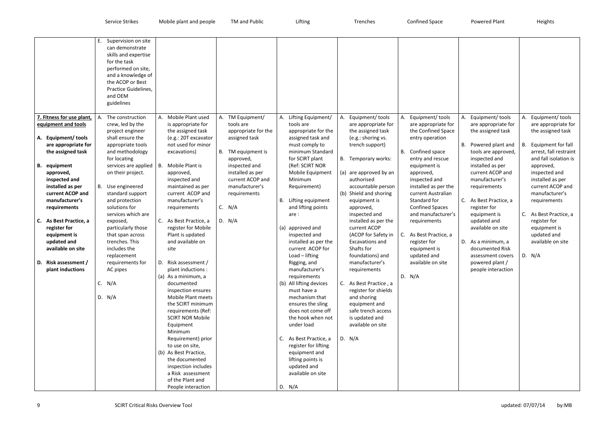| skills and expertise<br>for the task<br>performed on site,<br>and a knowledge of<br>the ACOP or Best<br>Practice Guidelines,<br>and OEM<br>guidelines                                                                                                                                                                                                                                                                                                                                                                                                                                                                                                                                                                                                                                                                                                                                                                                                                                                                                                                                                                                                                                                                                                                                                                                                                                                                                                                                                                                                                                                                                                                                                                                                                                                                                                                                                                                                                                                                                                                                                                                                                                                                                                                                                                                                                                                                                                                                                                                                                                                                                                                                                                                                                                                                                                                                                                                                                                                                                                                                                                                                                                                                                                                                                                                                                                                                                                                                                                                                                                                                                                                                                                                                                                                                                                                                                                                                                                                             |                                                                                                                                                                                                                                                                                                                                                                |
|-------------------------------------------------------------------------------------------------------------------------------------------------------------------------------------------------------------------------------------------------------------------------------------------------------------------------------------------------------------------------------------------------------------------------------------------------------------------------------------------------------------------------------------------------------------------------------------------------------------------------------------------------------------------------------------------------------------------------------------------------------------------------------------------------------------------------------------------------------------------------------------------------------------------------------------------------------------------------------------------------------------------------------------------------------------------------------------------------------------------------------------------------------------------------------------------------------------------------------------------------------------------------------------------------------------------------------------------------------------------------------------------------------------------------------------------------------------------------------------------------------------------------------------------------------------------------------------------------------------------------------------------------------------------------------------------------------------------------------------------------------------------------------------------------------------------------------------------------------------------------------------------------------------------------------------------------------------------------------------------------------------------------------------------------------------------------------------------------------------------------------------------------------------------------------------------------------------------------------------------------------------------------------------------------------------------------------------------------------------------------------------------------------------------------------------------------------------------------------------------------------------------------------------------------------------------------------------------------------------------------------------------------------------------------------------------------------------------------------------------------------------------------------------------------------------------------------------------------------------------------------------------------------------------------------------------------------------------------------------------------------------------------------------------------------------------------------------------------------------------------------------------------------------------------------------------------------------------------------------------------------------------------------------------------------------------------------------------------------------------------------------------------------------------------------------------------------------------------------------------------------------------------------------------------------------------------------------------------------------------------------------------------------------------------------------------------------------------------------------------------------------------------------------------------------------------------------------------------------------------------------------------------------------------------------------------------------------------------------------------------------------------|----------------------------------------------------------------------------------------------------------------------------------------------------------------------------------------------------------------------------------------------------------------------------------------------------------------------------------------------------------------|
| 7. Fitness for use plant,<br>Mobile Plant used<br>Equipment/ tools<br>Equipment/ tools<br>Equipment/ tools<br>The construction<br>TM Equipment/<br>Lifting Equipment/<br>А.<br>А.<br>А.<br>А.<br>А.<br>crew, led by the<br>tools are<br>equipment and tools<br>is appropriate for<br>tools are<br>are appropriate for<br>are appropriate for<br>are appropriate for<br>the assigned task<br>appropriate for the<br>the assigned task<br>the Confined Space<br>the assigned task<br>project engineer<br>appropriate for the<br>A. Equipment/tools<br>shall ensure the<br>assigned task<br>assigned task and<br>(e.g.: 20T excavator<br>(e.g.: shoring vs.<br>entry operation<br>not used for minor<br>appropriate tools<br>must comply to<br>trench support)<br>B. Powered plant and<br>are appropriate for<br>minimum Standard<br>B. Confined space<br>the assigned task<br>and methodology<br>excavations)<br>В.<br>TM equipment is<br>tools are approved,<br>for locating<br>for SCIRT plant<br>B. Temporary works:<br>entry and rescue<br>inspected and<br>approved,<br>services are applied<br>Mobile Plant is<br>(Ref: SCIRT NOR<br>installed as per<br>inspected and<br><b>B.</b> equipment<br>В.<br>equipment is<br>on their project.<br>installed as per<br>Mobile Equipment<br>(a) are approved by an<br>current ACOP and<br>approved,<br>approved,<br>approved,<br>current ACOP and<br>authorised<br>manufacturer's<br>inspected and<br>inspected and<br>Minimum<br>inspected and<br>B. Use engineered<br>maintained as per<br>manufacturer's<br>accountable person<br>installed as per the<br>installed as per<br>Requirement)<br>requirements<br>current ACOP and<br>current ACOP and<br>(b) Shield and shoring<br>current Australian<br>standard support<br>requirements<br>manufacturer's<br>manufacturer's<br>Lifting equipment<br>Standard for<br>C. As Best Practice, a<br>and protection<br>equipment is<br>В.<br>C. N/A<br>solutions for<br>and lifting points<br><b>Confined Spaces</b><br>register for<br>requirements<br>requirements<br>approved,<br>services which are<br>and manufacturer's<br>inspected and<br>equipment is<br>are:<br>C. As Best Practice, a<br>D. N/A<br>As Best Practice, a<br>updated and<br>exposed,<br>installed as per the<br>C.<br>requirements<br>current ACOP<br>particularly those<br>register for Mobile<br>(a) approved and<br>available on site<br>register for<br>Plant is updated<br>inspected and<br>(ACOP for Safety in<br>C. As Best Practice, a<br>equipment is<br>that span across<br>trenches. This<br>and available on<br>installed as per the<br>D. As a minimum, a<br>updated and<br>Excavations and<br>register for<br>Shafts for<br>available on site<br>includes the<br>current ACOP for<br>site<br>documented Risk<br>equipment is<br>Load - lifting<br>foundations) and<br>updated and<br>replacement<br>assessment covers<br>D. Risk assessment /<br>D. Risk assessment /<br>manufacturer's<br>available on site<br>requirements for<br>Rigging, and<br>powered plant /<br>plant inductions<br>AC pipes<br>manufacturer's<br>people interaction<br>plant inductions :<br>requirements<br>D. $N/A$<br>(a) As a minimum, a<br>requirements<br>C. $N/A$<br>(b) All lifting devices<br>C. As Best Practice, a<br>documented<br>inspection ensures<br>must have a<br>register for shields<br>D. N/A<br>Mobile Plant meets<br>mechanism that<br>and shoring<br>the SCIRT minimum<br>ensures the sling<br>equipment and<br>safe trench access<br>requirements (Ref:<br>does not come off<br><b>SCIRT NOR Mobile</b><br>the hook when not<br>is updated and<br>under load<br>available on site<br>Equipment<br>Minimum<br>Requirement) prior<br>D. N/A<br>C. As Best Practice, a<br>to use on site,<br>register for lifting<br>(b) As Best Practice,<br>equipment and<br>lifting points is<br>the documented<br>inspection includes<br>updated and<br>available on site<br>a Risk assessment<br>of the Plant and<br>D. N/A<br>People interaction | Equipment/ tools<br>are appropriate for<br>the assigned task<br>Equipment for fall<br>В.<br>arrest, fall restraint<br>and fall isolation is<br>approved,<br>inspected and<br>installed as per<br>current ACOP and<br>manufacturer's<br>requirements<br>As Best Practice, a<br>C.<br>register for<br>equipment is<br>updated and<br>available on site<br>D. N/A |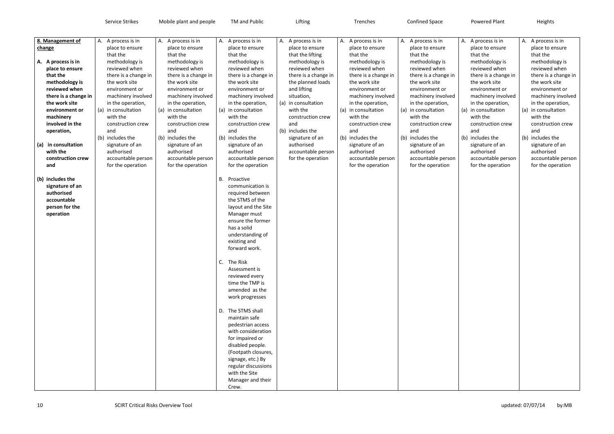| 8. Management of<br>change                                                          |                                                                                                                                                                          | A. A process is in<br>place to ensure<br>that the                                                                                                                                                                                                                                                    | A. A process is in<br>place to ensure<br>that the                                                                                                                                                                                                                                                    | A. A process is in<br>place to ensure<br>that the                                                                                                                                                                                                                                                                                                                                                                                                                                                                                                                           | A. A process is in<br>place to ensure<br>that the lifting                                                                                                                                                                                                                | A. A process is in<br>place to ensure<br>that the                                                                                                                                                                                                                                                       | A.<br>A. A process is in<br>place to ensure<br>that the                                                                                                                                                                                                                                                           |
|-------------------------------------------------------------------------------------|--------------------------------------------------------------------------------------------------------------------------------------------------------------------------|------------------------------------------------------------------------------------------------------------------------------------------------------------------------------------------------------------------------------------------------------------------------------------------------------|------------------------------------------------------------------------------------------------------------------------------------------------------------------------------------------------------------------------------------------------------------------------------------------------------|-----------------------------------------------------------------------------------------------------------------------------------------------------------------------------------------------------------------------------------------------------------------------------------------------------------------------------------------------------------------------------------------------------------------------------------------------------------------------------------------------------------------------------------------------------------------------------|--------------------------------------------------------------------------------------------------------------------------------------------------------------------------------------------------------------------------------------------------------------------------|---------------------------------------------------------------------------------------------------------------------------------------------------------------------------------------------------------------------------------------------------------------------------------------------------------|-------------------------------------------------------------------------------------------------------------------------------------------------------------------------------------------------------------------------------------------------------------------------------------------------------------------|
| A. A process is in<br>that the<br>machinery<br>operation,<br>(a)<br>with the<br>and | place to ensure<br>methodology is<br>reviewed when<br>there is a change in<br>the work site<br>environment or<br>involved in the<br>in consultation<br>construction crew | methodology is<br>reviewed when<br>there is a change in<br>the work site<br>environment or<br>machinery involved<br>in the operation,<br>(a) in consultation<br>with the<br>construction crew<br>and<br>(b) includes the<br>signature of an<br>authorised<br>accountable person<br>for the operation | methodology is<br>reviewed when<br>there is a change in<br>the work site<br>environment or<br>machinery involved<br>in the operation,<br>(a) in consultation<br>with the<br>construction crew<br>and<br>(b) includes the<br>signature of an<br>authorised<br>accountable person<br>for the operation | methodology is<br>reviewed when<br>there is a change in<br>the work site<br>environment or<br>machinery involved<br>in the operation,<br>(a) in consultation<br>with the<br>construction crew<br>and<br>(b) includes the<br>signature of an<br>authorised<br>accountable person<br>for the operation                                                                                                                                                                                                                                                                        | methodology is<br>reviewed when<br>there is a change in<br>the planned loads<br>and lifting<br>situation,<br>(a) in consultation<br>with the<br>construction crew<br>and<br>(b) includes the<br>signature of an<br>authorised<br>accountable person<br>for the operation | methodology is<br>reviewed when<br>there is a change in<br>the work site<br>environment or<br>machinery involved<br>in the operation,<br>in consultation<br>(a)<br>with the<br>construction crew<br>and<br>(b) includes the<br>signature of an<br>authorised<br>accountable person<br>for the operation | methodology is<br>reviewed when<br>there is a change in<br>the work site<br>environment or<br>machinery involved<br>in the operation,<br>(a) in consultation<br>(a<br>with the<br>construction crew<br>and<br>(b)<br>(b) includes the<br>signature of an<br>authorised<br>accountable person<br>for the operation |
| (b) includes the<br>authorised<br>accountable<br>operation                          | signature of an<br>person for the                                                                                                                                        |                                                                                                                                                                                                                                                                                                      |                                                                                                                                                                                                                                                                                                      | <b>B.</b><br>Proactive<br>communication is<br>required between<br>the STMS of the<br>layout and the Site<br>Manager must<br>ensure the former<br>has a solid<br>understanding of<br>existing and<br>forward work.<br>C.<br>The Risk<br>Assessment is<br>reviewed every<br>time the TMP is<br>amended as the<br>work progresses<br>The STMS shall<br>D.<br>maintain safe<br>pedestrian access<br>with consideration<br>for impaired or<br>disabled people.<br>(Footpath closures,<br>signage, etc.) By<br>regular discussions<br>with the Site<br>Manager and their<br>Crew. |                                                                                                                                                                                                                                                                          |                                                                                                                                                                                                                                                                                                         |                                                                                                                                                                                                                                                                                                                   |

| Α.  | A process is in      | А.  | A process is in      |
|-----|----------------------|-----|----------------------|
|     | place to ensure      |     | place to ensure      |
|     | that the             |     | that the             |
|     | methodology is       |     | methodology is       |
|     | reviewed when        |     | reviewed when        |
|     | there is a change in |     | there is a change in |
|     | the work site        |     | the work site        |
|     | environment or       |     | environment or       |
|     | machinery involved   |     | machinery involved   |
|     | in the operation,    |     | in the operation,    |
| (a) | in consultation      | (a) | in consultation      |
|     | with the             |     | with the             |
|     | construction crew    |     | construction crew    |
|     | and                  |     | and                  |
|     | (b) includes the     |     | (b) includes the     |
|     | signature of an      |     | signature of an      |
|     | authorised           |     | authorised           |
|     | accountable person   |     | accountable person   |
|     | for the operation    |     | for the operation    |
|     |                      |     |                      |
|     |                      |     |                      |
|     |                      |     |                      |
|     |                      |     |                      |
|     |                      |     |                      |
|     |                      |     |                      |
|     |                      |     |                      |
|     |                      |     |                      |
|     |                      |     |                      |
|     |                      |     |                      |
|     |                      |     |                      |
|     |                      |     |                      |
|     |                      |     |                      |
|     |                      |     |                      |
|     |                      |     |                      |
|     |                      |     |                      |
|     |                      |     |                      |
|     |                      |     |                      |
|     |                      |     |                      |
|     |                      |     |                      |
|     |                      |     |                      |
|     |                      |     |                      |
|     |                      |     |                      |
|     |                      |     |                      |
|     |                      |     |                      |
|     |                      |     |                      |
|     |                      |     |                      |
|     |                      |     |                      |
|     |                      |     |                      |
|     |                      |     |                      |
|     |                      |     |                      |
|     |                      |     |                      |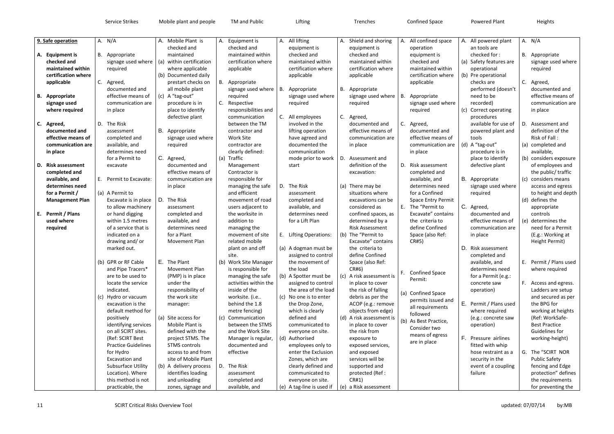| 9. Safe operation                                      | A. $N/A$                                                                           | A. Mobile Plant is                                                                  | А. | Equipment is                                                            | A. All lifting                                                                  | А. | Shield and shoring                                                                | А.  | All confined space                                                            |              | A. All pov                         |
|--------------------------------------------------------|------------------------------------------------------------------------------------|-------------------------------------------------------------------------------------|----|-------------------------------------------------------------------------|---------------------------------------------------------------------------------|----|-----------------------------------------------------------------------------------|-----|-------------------------------------------------------------------------------|--------------|------------------------------------|
| A. Equipment is<br>checked and                         | B. Appropriate<br>signage used where                                               | checked and<br>maintained<br>(a) within certification                               |    | checked and<br>maintained within<br>certification where                 | equipment is<br>checked and<br>maintained within<br>certification where         |    | equipment is<br>checked and<br>maintained within<br>certification where           |     | operation<br>equipment is<br>checked and<br>maintained within                 |              | an too<br>checke<br>(a) Safety     |
| maintained within<br>certification where<br>applicable | required<br>C. Agreed,                                                             | where applicable<br>(b) Documented daily<br>prestart checks on                      |    | applicable<br>B. Appropriate                                            | applicable                                                                      |    | applicable                                                                        |     | certification where<br>applicable                                             |              | operat<br>(b) Pre op<br>checks     |
| <b>B.</b> Appropriate                                  | documented and<br>effective means of                                               | all mobile plant<br>(c) A "tag-out"                                                 |    | signage used where<br>required                                          | B. Appropriate<br>signage used where                                            |    | B. Appropriate<br>signage used where                                              | В.  | Appropriate                                                                   |              | perfor<br>need t                   |
| signage used<br>where required                         | communication are<br>in place                                                      | procedure is in<br>place to identify<br>defective plant                             | C. | Respective<br>responsibilities and<br>communication                     | required<br>C. All employees                                                    |    | required                                                                          |     | signage used where<br>required                                                | (c)          | record<br>Correc<br>procec         |
| C. Agreed,<br>documented and                           | D. The Risk<br>assessment                                                          | B. Appropriate                                                                      |    | between the TM<br>contractor and                                        | involved in the<br>lifting operation                                            |    | C. Agreed,<br>documented and<br>effective means of                                | C.  | Agreed,<br>documented and                                                     |              | availab<br>power                   |
| effective means of<br>communication are<br>in place    | completed and<br>available, and<br>determines need                                 | signage used where<br>required                                                      |    | <b>Work Site</b><br>contractor are<br>clearly defined:                  | have agreed and<br>documented the<br>communication                              |    | communication are<br>in place                                                     |     | effective means of<br>communication are<br>in place                           |              | tools<br>(d) A "tag-<br>procec     |
| D. Risk assessment                                     | for a Permit to<br>excavate                                                        | C. Agreed,<br>documented and                                                        |    | (a) Traffic<br>Management                                               | mode prior to work<br>start                                                     |    | D. Assessment and<br>definition of the                                            | D.  | Risk assessment                                                               |              | place t<br>defect                  |
| completed and<br>available, and<br>determines need     | E. Permit to Excavate:                                                             | effective means of<br>communication are<br>in place                                 |    | Contractor is<br>responsible for<br>managing the safe                   | D. The Risk                                                                     |    | excavation:<br>(a) There may be                                                   |     | completed and<br>available, and<br>determines need                            | В.           | Appro<br>signag                    |
| for a Permit /<br><b>Management Plan</b>               | (a) A Permit to<br>Excavate is in place                                            | D. The Risk                                                                         |    | and efficient<br>movement of road                                       | assessment<br>completed and                                                     |    | situations where<br>excavations can be                                            |     | for a Confined<br><b>Space Entry Permit</b>                                   |              | require                            |
| E. Permit / Plans<br>used where<br>required            | to allow machinery<br>or hand digging<br>within 1.5 metres<br>of a service that is | assessment<br>completed and<br>available, and<br>determines need                    |    | users adjacent to<br>the worksite in<br>addition to<br>managing the     | available, and<br>determines need<br>for a Lift Plan                            |    | considered as<br>confined spaces, as<br>determined by a<br><b>Risk Assessment</b> |     | E. The "Permit to<br>Excavate" contains<br>the criteria to<br>define Confined | C.           | Agreed<br>docum<br>effecti<br>comm |
|                                                        | indicated on a<br>drawing and/or<br>marked out.                                    | for a Plant<br>Movement Plan                                                        |    | movement of site<br>related mobile<br>plant on and off                  | E. Lifting Operations:<br>(a) A dogman must be                                  |    | (b) The "Permit to<br>Excavate" contains<br>the criteria to                       |     | Space (also Ref:<br>CR#5)                                                     | D.           | in plac<br>Risk as                 |
|                                                        | (b) GPR or RF Cable<br>and Pipe Tracers*                                           | E. The Plant<br>Movement Plan                                                       |    | site.<br>(b) Work Site Manager<br>is responsible for                    | assigned to control<br>the movement of<br>the load                              |    | define Confined<br>Space (also Ref:<br>CR#6)                                      |     |                                                                               |              | comple<br>availab<br>detern        |
|                                                        | are to be used to<br>locate the service<br>indicated.                              | (PMP) is in place<br>under the<br>responsibility of                                 |    | managing the safe<br>activities within the<br>inside of the             | (b) A Spotter must be<br>assigned to control<br>the area of the load            |    | (c) A risk assessment is<br>in place to cover<br>the risk of falling              | F.  | <b>Confined Space</b><br>Permit:                                              |              | for a P<br>concre<br>operat        |
|                                                        | (c) Hydro or vacuum<br>excavation is the                                           | the work site<br>manager:                                                           |    | worksite. (i.e<br>behind the 1.8                                        | (c) No one is to enter<br>the Drop Zone,                                        |    | debris as per the<br>ACOP (e.g.: remove                                           | (a) | <b>Confined Space</b><br>permits issued and<br>all requirements               | Ε.           | Permit                             |
|                                                        | default method for<br>positively<br>identifying services                           | (a) Site access for<br>Mobile Plant is                                              |    | metre fencing)<br>(c) Communication<br>between the STMS                 | which is clearly<br>defined and<br>communicated to                              |    | objects from edge)<br>(d) A risk assessment is<br>in place to cover               |     | followed<br>(b) As Best Practice,<br>Consider two                             |              | where<br>(e.g.: c<br>operat        |
|                                                        | on all SCIRT sites.<br>(Ref: SCIRT Best<br><b>Practice Guidelines</b><br>for Hydro | defined with the<br>project STMS. The<br><b>STMS</b> controls<br>access to and from |    | and the Work Site<br>Manager is regular,<br>documented and<br>effective | everyone on site.<br>(d) Authorised<br>employees only to<br>enter the Exclusion |    | the risk from<br>exposure to<br>exposed services,<br>and exposed                  |     | means of egress<br>are in place                                               | $F_{\rm{L}}$ | Pressu<br>fitted \<br>hose re      |
|                                                        | Excavation and<br><b>Subsurface Utility</b><br>Location). Where                    | site of Mobile Plant<br>(b) A delivery process<br>identifies loading                |    | D. The Risk<br>assessment                                               | Zones, which are<br>clearly defined and<br>communicated to                      |    | services will be<br>supported and<br>protected (Ref :                             |     |                                                                               |              | securit<br>event<br>failure        |
|                                                        | this method is not<br>practicable, the                                             | and unloading<br>zones, signage and                                                 |    | completed and<br>available, and                                         | everyone on site.<br>(e) A tag-line is used if                                  |    | CR#1)<br>(e) a Risk assessment                                                    |     |                                                                               |              |                                    |

|               | All powered plant<br>an tools are |     | A. $N/A$                               |
|---------------|-----------------------------------|-----|----------------------------------------|
|               |                                   |     |                                        |
|               | checked for :                     | В.  | Appropriate                            |
| $\mathcal{L}$ | Safety features are               |     | signage used where                     |
|               | operational                       |     | required                               |
| $\mathcal{E}$ | Pre operational                   |     |                                        |
|               | checks are                        | C.  | Agreed,                                |
|               | performed (doesn't                |     | documented and                         |
|               | need to be                        |     | effective means of                     |
|               | recorded)                         |     | communication are                      |
| )             | Correct operating                 |     | in place                               |
|               | procedures                        |     |                                        |
|               | available for use of              | D.  | Assessment and                         |
|               | powered plant and                 |     | definition of the                      |
|               | tools                             |     | Risk of Fall:                          |
| $\mathcal{C}$ | A "tag-out"                       | (a) | completed and                          |
|               | procedure is in                   |     | available,                             |
|               | place to identify                 |     | (b) considers exposure                 |
|               | defective plant                   |     | of employees and                       |
|               |                                   |     | the public/ traffic                    |
|               | Appropriate                       | (c) | considers means                        |
|               | signage used where                |     | access and egress                      |
|               |                                   |     |                                        |
|               | required                          |     | to height and depth<br>(d) defines the |
|               |                                   |     |                                        |
|               | Agreed,                           |     | appropriate                            |
|               | documented and                    |     | controls                               |
|               | effective means of                | (e) | determines the                         |
|               | communication are                 |     | need for a Permit                      |
|               | in place                          |     | (E.g.: Working at                      |
|               |                                   |     | Height Permit)                         |
|               | Risk assessment                   |     |                                        |
|               | completed and                     |     |                                        |
|               | available, and                    | E   | Permit / Plans used                    |
|               | determines need                   |     | where required                         |
|               | for a Permit (e.g.:               |     |                                        |
|               | concrete saw                      | F.  | Access and egress.                     |
|               | operation)                        |     | Ladders are setup                      |
|               |                                   |     | and secured as per                     |
|               | Permit / Plans used               |     | the BPG for                            |
|               | where required                    |     | working at heights                     |
|               | (e.g.: concrete saw               |     | (Ref: WorkSafe-                        |
|               | operation)                        |     | <b>Best Practice</b>                   |
|               |                                   |     | Guidelines for                         |
|               | Pressure airlines                 |     | working-height)                        |
|               | fitted with whip                  |     |                                        |
|               | hose restraint as a               | G.  | The "SCIRT NOR                         |
|               | security in the                   |     | <b>Public Safety</b>                   |
|               | event of a coupling               |     | fencing and Edge                       |
|               | failure                           |     | protection" defines                    |
|               |                                   |     | the requirements                       |
|               |                                   |     | for preventing the                     |
|               |                                   |     |                                        |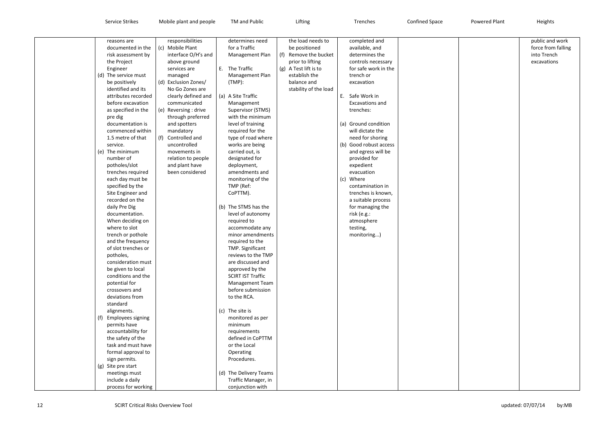| reasons are                              | responsibilities      |                     | determines need                     |     | the load needs to     |     | completed and          |  |
|------------------------------------------|-----------------------|---------------------|-------------------------------------|-----|-----------------------|-----|------------------------|--|
| documented in the                        | (c) Mobile Plant      |                     | for a Traffic                       |     | be positioned         |     | available, and         |  |
| risk assessment by                       |                       | interface O/H's and | Management Plan                     | (f) | Remove the bucket     |     | determines the         |  |
| the Project                              | above ground          |                     |                                     |     | prior to lifting      |     | controls necessary     |  |
| Engineer                                 | services are          |                     | E. The Traffic                      |     | (g) A Test lift is to |     | for safe work in the   |  |
| (d) The service must                     | managed               |                     | Management Plan                     |     | establish the         |     | trench or              |  |
| be positively                            | (d) Exclusion Zones/  |                     | $(TMP)$ :                           |     | balance and           |     | excavation             |  |
| identified and its                       |                       | No Go Zones are     |                                     |     | stability of the load |     |                        |  |
| attributes recorded                      |                       | clearly defined and | (a) A Site Traffic                  |     |                       | E.  | Safe Work in           |  |
| before excavation                        | communicated          |                     | Management                          |     |                       |     | <b>Excavations and</b> |  |
| as specified in the                      | (e) Reversing : drive |                     | Supervisor (STMS)                   |     |                       |     | trenches:              |  |
| pre dig                                  |                       | through preferred   | with the minimum                    |     |                       |     |                        |  |
| documentation is                         | and spotters          |                     | level of training                   |     |                       |     | (a) Ground condition   |  |
| commenced within                         | mandatory             |                     | required for the                    |     |                       |     | will dictate the       |  |
| 1.5 metre of that                        | Controlled and<br>(f) |                     | type of road where                  |     |                       |     | need for shoring       |  |
| service.                                 | uncontrolled          |                     | works are being                     |     |                       | (b) | Good robust access     |  |
| (e) The minimum                          | movements in          |                     | carried out, is                     |     |                       |     | and egress will be     |  |
| number of                                |                       | relation to people  | designated for                      |     |                       |     | provided for           |  |
| potholes/slot                            | and plant have        |                     | deployment,                         |     |                       |     | expedient              |  |
| trenches required                        |                       | been considered     | amendments and                      |     |                       |     | evacuation             |  |
| each day must be                         |                       |                     | monitoring of the                   |     |                       | (c) | Where                  |  |
| specified by the                         |                       |                     | TMP (Ref:                           |     |                       |     | contamination in       |  |
| Site Engineer and                        |                       |                     | CoPTTM).                            |     |                       |     | trenches is known,     |  |
| recorded on the                          |                       |                     |                                     |     |                       |     | a suitable process     |  |
| daily Pre Dig                            |                       |                     | (b) The STMS has the                |     |                       |     | for managing the       |  |
| documentation.                           |                       |                     | level of autonomy                   |     |                       |     | risk (e.g.:            |  |
| When deciding on                         |                       |                     | required to                         |     |                       |     | atmosphere             |  |
| where to slot                            |                       |                     | accommodate any                     |     |                       |     | testing,               |  |
| trench or pothole                        |                       |                     | minor amendments                    |     |                       |     | monitoring)            |  |
| and the frequency<br>of slot trenches or |                       |                     | required to the<br>TMP. Significant |     |                       |     |                        |  |
| potholes,                                |                       |                     | reviews to the TMP                  |     |                       |     |                        |  |
| consideration must                       |                       |                     | are discussed and                   |     |                       |     |                        |  |
| be given to local                        |                       |                     | approved by the                     |     |                       |     |                        |  |
| conditions and the                       |                       |                     | <b>SCIRT IST Traffic</b>            |     |                       |     |                        |  |
| potential for                            |                       |                     | <b>Management Team</b>              |     |                       |     |                        |  |
| crossovers and                           |                       |                     | before submission                   |     |                       |     |                        |  |
| deviations from                          |                       |                     | to the RCA.                         |     |                       |     |                        |  |
| standard                                 |                       |                     |                                     |     |                       |     |                        |  |
| alignments.                              |                       |                     | (c) The site is                     |     |                       |     |                        |  |
| <b>Employees signing</b>                 |                       |                     | monitored as per                    |     |                       |     |                        |  |
| permits have                             |                       |                     | minimum                             |     |                       |     |                        |  |
| accountability for                       |                       |                     | requirements                        |     |                       |     |                        |  |
| the safety of the                        |                       |                     | defined in CoPTTM                   |     |                       |     |                        |  |
| task and must have                       |                       |                     | or the Local                        |     |                       |     |                        |  |
| formal approval to                       |                       |                     | Operating                           |     |                       |     |                        |  |
| sign permits.                            |                       |                     | Procedures.                         |     |                       |     |                        |  |
| Site pre start<br>(g)                    |                       |                     |                                     |     |                       |     |                        |  |
| meetings must                            |                       |                     | (d) The Delivery Teams              |     |                       |     |                        |  |
| include a daily                          |                       |                     | Traffic Manager, in                 |     |                       |     |                        |  |
| process for working                      |                       |                     | conjunction with                    |     |                       |     |                        |  |

| public and work<br>force from falling<br>into Trench<br>excavations |
|---------------------------------------------------------------------|
|                                                                     |
|                                                                     |
|                                                                     |
|                                                                     |
|                                                                     |
|                                                                     |
|                                                                     |
|                                                                     |
|                                                                     |
|                                                                     |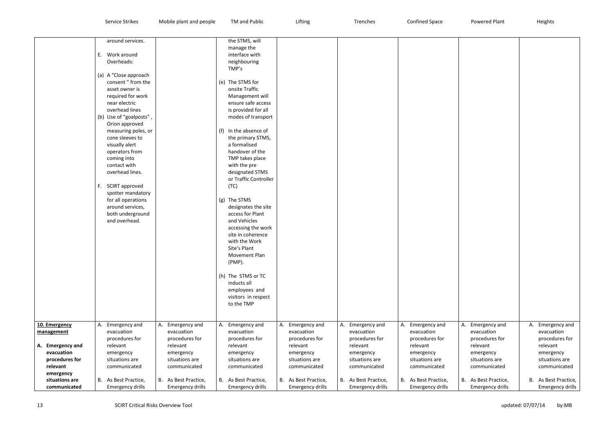|                             | around services.                            |                         | the STMS, will                    |                         |                         |                         |    |
|-----------------------------|---------------------------------------------|-------------------------|-----------------------------------|-------------------------|-------------------------|-------------------------|----|
|                             |                                             |                         | manage the                        |                         |                         |                         |    |
|                             | Work around<br>Е.                           |                         | interface with                    |                         |                         |                         |    |
|                             | Overheads:                                  |                         | neighbouring                      |                         |                         |                         |    |
|                             |                                             |                         | TMP's                             |                         |                         |                         |    |
|                             | (a) A "Close approach<br>consent " from the |                         |                                   |                         |                         |                         |    |
|                             |                                             |                         | (e) The STMS for                  |                         |                         |                         |    |
|                             | asset owner is                              |                         | onsite Traffic                    |                         |                         |                         |    |
|                             | required for work<br>near electric          |                         | Management will                   |                         |                         |                         |    |
|                             | overhead lines                              |                         | ensure safe access                |                         |                         |                         |    |
|                             |                                             |                         | is provided for all               |                         |                         |                         |    |
|                             | (b) Use of "goalposts",                     |                         | modes of transport                |                         |                         |                         |    |
|                             | Orion approved                              |                         | In the absence of                 |                         |                         |                         |    |
|                             | measuring poles, or<br>cone sleeves to      |                         | (f)                               |                         |                         |                         |    |
|                             | visually alert                              |                         | the primary STMS,<br>a formalised |                         |                         |                         |    |
|                             | operators from                              |                         | handover of the                   |                         |                         |                         |    |
|                             | coming into                                 |                         | TMP takes place                   |                         |                         |                         |    |
|                             | contact with                                |                         | with the pre                      |                         |                         |                         |    |
|                             | overhead lines.                             |                         | designated STMS                   |                         |                         |                         |    |
|                             |                                             |                         | or Traffic Controller             |                         |                         |                         |    |
|                             | <b>SCIRT</b> approved<br>F.                 |                         | (TC)                              |                         |                         |                         |    |
|                             | spotter mandatory                           |                         |                                   |                         |                         |                         |    |
|                             | for all operations                          |                         | The STMS<br>(g)                   |                         |                         |                         |    |
|                             | around services,                            |                         | designates the site               |                         |                         |                         |    |
|                             | both underground                            |                         | access for Plant                  |                         |                         |                         |    |
|                             | and overhead.                               |                         | and Vehicles                      |                         |                         |                         |    |
|                             |                                             |                         | accessing the work                |                         |                         |                         |    |
|                             |                                             |                         | site in coherence                 |                         |                         |                         |    |
|                             |                                             |                         | with the Work                     |                         |                         |                         |    |
|                             |                                             |                         | Site's Plant                      |                         |                         |                         |    |
|                             |                                             |                         | Movement Plan                     |                         |                         |                         |    |
|                             |                                             |                         | (PMP).                            |                         |                         |                         |    |
|                             |                                             |                         |                                   |                         |                         |                         |    |
|                             |                                             |                         | (h) The STMS or TC                |                         |                         |                         |    |
|                             |                                             |                         | inducts all                       |                         |                         |                         |    |
|                             |                                             |                         | employees and                     |                         |                         |                         |    |
|                             |                                             |                         | visitors in respect               |                         |                         |                         |    |
|                             |                                             |                         | to the TMP                        |                         |                         |                         |    |
|                             |                                             |                         |                                   |                         |                         |                         |    |
|                             |                                             |                         |                                   |                         |                         |                         |    |
| 10. Emergency               | Emergency and<br>А.                         | Emergency and<br>Α.     | Emergency and<br>А.               | Emergency and<br>Α.     | Emergency and<br>А.     | Emergency and<br>Α.     | Α. |
| management                  | evacuation                                  | evacuation              | evacuation                        | evacuation              | evacuation              | evacuation              |    |
|                             | procedures for                              | procedures for          | procedures for                    | procedures for          | procedures for          | procedures for          |    |
| A. Emergency and            | relevant                                    | relevant                | relevant                          | relevant                | relevant                | relevant                |    |
| evacuation                  | emergency                                   | emergency               | emergency                         | emergency               | emergency               | emergency               |    |
| procedures for              | situations are                              | situations are          | situations are                    | situations are          | situations are          | situations are          |    |
| relevant                    | communicated                                | communicated            | communicated                      | communicated            | communicated            | communicated            |    |
| emergency<br>situations are |                                             |                         |                                   |                         |                         |                         |    |
| communicated                | As Best Practice,<br>В.                     | В.<br>As Best Practice, | As Best Practice,<br>В.           | B. As Best Practice,    | As Best Practice,<br>В. | В.<br>As Best Practice, | В. |
|                             | Emergency drills                            | Emergency drills        | <b>Emergency drills</b>           | <b>Emergency drills</b> | <b>Emergency drills</b> | Emergency drills        |    |

| А. | Emergency and           | Α. | Emergency and           |
|----|-------------------------|----|-------------------------|
|    | evacuation              |    | evacuation              |
|    | procedures for          |    | procedures for          |
|    | relevant                |    | relevant                |
|    | emergency               |    | emergency               |
|    | situations are          |    | situations are          |
|    |                         |    |                         |
|    | communicated            |    | communicated            |
|    |                         |    |                         |
| В. | As Best Practice,       |    | B. As Best Practice,    |
|    | <b>Emergency drills</b> |    | <b>Emergency drills</b> |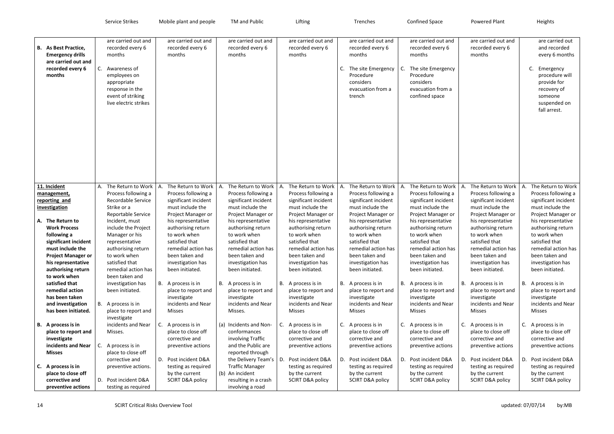|    |                                                                                                                                                                                                                                                                                                   | Service Strikes                                                                                                                          |                                                                                                                                                                                          |    | Mobile plant and people                                                                                                                                                                                                                                                                                                 |    | TM and Public                                                                                                                                                                                                                                                                                                           |    | Lifting                                                                                                                                                                                                                                                                                                                 |     | Trenches                                                                                                                                                                                                                                                                                                                     |    | <b>Confined Space</b>                                                                                                                                                                                                                                                                                                     |    | <b>Powered Plant</b>                                                                                                                                                                                                                                                                                                    |             | Heights                                                                                                                                                                                                                                                                                                                 |
|----|---------------------------------------------------------------------------------------------------------------------------------------------------------------------------------------------------------------------------------------------------------------------------------------------------|------------------------------------------------------------------------------------------------------------------------------------------|------------------------------------------------------------------------------------------------------------------------------------------------------------------------------------------|----|-------------------------------------------------------------------------------------------------------------------------------------------------------------------------------------------------------------------------------------------------------------------------------------------------------------------------|----|-------------------------------------------------------------------------------------------------------------------------------------------------------------------------------------------------------------------------------------------------------------------------------------------------------------------------|----|-------------------------------------------------------------------------------------------------------------------------------------------------------------------------------------------------------------------------------------------------------------------------------------------------------------------------|-----|------------------------------------------------------------------------------------------------------------------------------------------------------------------------------------------------------------------------------------------------------------------------------------------------------------------------------|----|---------------------------------------------------------------------------------------------------------------------------------------------------------------------------------------------------------------------------------------------------------------------------------------------------------------------------|----|-------------------------------------------------------------------------------------------------------------------------------------------------------------------------------------------------------------------------------------------------------------------------------------------------------------------------|-------------|-------------------------------------------------------------------------------------------------------------------------------------------------------------------------------------------------------------------------------------------------------------------------------------------------------------------------|
|    | <b>B.</b> As Best Practice,<br><b>Emergency drills</b><br>are carried out and<br>recorded every 6<br>months                                                                                                                                                                                       | months<br>C. Awareness of<br>employees on<br>appropriate<br>response in the                                                              | are carried out and<br>recorded every 6<br>event of striking<br>live electric strikes                                                                                                    |    | are carried out and<br>recorded every 6<br>months                                                                                                                                                                                                                                                                       |    | are carried out and<br>recorded every 6<br>months                                                                                                                                                                                                                                                                       |    | are carried out and<br>recorded every 6<br>months                                                                                                                                                                                                                                                                       |     | are carried out and<br>recorded every 6<br>months<br>The site Emergency<br>Procedure<br>considers<br>evacuation from a<br>trench                                                                                                                                                                                             | C. | are carried out and<br>recorded every 6<br>months<br>The site Emergency<br>Procedure<br>considers<br>evacuation from a<br>confined space                                                                                                                                                                                  |    | are carried out and<br>recorded every 6<br>months                                                                                                                                                                                                                                                                       |             | are carried out<br>and recorded<br>every 6 months<br>C. Emergency<br>procedure will<br>provide for<br>recovery of<br>someone<br>suspended on<br>fall arrest.                                                                                                                                                            |
|    | 11. Incident<br>management,<br>reporting and<br>investigation<br>A. The Return to<br><b>Work Process</b><br>following a<br>significant incident<br>must include the<br><b>Project Manager or</b><br>his representative<br>authorising return<br>to work when<br>satisfied that<br>remedial action | Strike or a<br>Incident, must<br>Manager or his<br>representative<br>to work when<br>satisfied that<br>been taken and<br>been initiated. | A. The Return to Work<br>Process following a<br><b>Recordable Service</b><br>Reportable Service<br>include the Project<br>authorising return<br>remedial action has<br>investigation has | А. | The Return to Work<br>Process following a<br>significant incident<br>must include the<br>Project Manager or<br>his representative<br>authorising return<br>to work when<br>satisfied that<br>remedial action has<br>been taken and<br>investigation has<br>been initiated.<br>B. A process is in<br>place to report and | Α. | The Return to Work<br>Process following a<br>significant incident<br>must include the<br>Project Manager or<br>his representative<br>authorising return<br>to work when<br>satisfied that<br>remedial action has<br>been taken and<br>investigation has<br>been initiated.<br>B. A process is in<br>place to report and | А. | The Return to Work<br>Process following a<br>significant incident<br>must include the<br>Project Manager or<br>his representative<br>authorising return<br>to work when<br>satisfied that<br>remedial action has<br>been taken and<br>investigation has<br>been initiated.<br>B. A process is in<br>place to report and | IA. | The Return to Work   A.<br>Process following a<br>significant incident<br>must include the<br>Project Manager or<br>his representative<br>authorising return<br>to work when<br>satisfied that<br>remedial action has<br>been taken and<br>investigation has<br>been initiated.<br>B. A process is in<br>place to report and |    | The Return to Work  <br>Process following a<br>significant incident<br>must include the<br>Project Manager or<br>his representative<br>authorising return<br>to work when<br>satisfied that<br>remedial action has<br>been taken and<br>investigation has<br>been initiated.<br>B. A process is in<br>place to report and | А. | The Return to Work<br>Process following a<br>significant incident<br>must include the<br>Project Manager or<br>his representative<br>authorising return<br>to work when<br>satisfied that<br>remedial action has<br>been taken and<br>investigation has<br>been initiated.<br>B. A process is in<br>place to report and | А.          | The Return to Work<br>Process following a<br>significant incident<br>must include the<br>Project Manager or<br>his representative<br>authorising return<br>to work when<br>satisfied that<br>remedial action has<br>been taken and<br>investigation has<br>been initiated.<br>B. A process is in<br>place to report and |
|    | has been taken<br>and investigation<br>has been initiated.<br>B. A process is in<br>place to report and<br>investigate<br>incidents and Near<br><b>Misses</b>                                                                                                                                     | B. A process is in<br>investigate<br>Misses.<br>C. A process is in<br>corrective and                                                     | place to report and<br>incidents and Near<br>place to close off                                                                                                                          | C. | investigate<br>incidents and Near<br><b>Misses</b><br>A process is in<br>place to close off<br>corrective and<br>preventive actions<br>D. Post incident D&A                                                                                                                                                             |    | investigate<br>incidents and Near<br>Misses.<br>(a) Incidents and Non-<br>conformances<br>involving Traffic<br>and the Public are<br>reported through<br>the Delivery Team's                                                                                                                                            |    | investigate<br>incidents and Near<br><b>Misses</b><br>C. A process is in<br>place to close off<br>corrective and<br>preventive actions<br>D. Post incident D&A                                                                                                                                                          |     | investigate<br>incidents and Near<br><b>Misses</b><br>C. A process is in<br>place to close off<br>corrective and<br>preventive actions<br>D. Post incident D&A                                                                                                                                                               |    | investigate<br>incidents and Near<br><b>Misses</b><br>C. A process is in<br>place to close off<br>corrective and<br>preventive actions<br>D. Post incident D&A                                                                                                                                                            |    | investigate<br>incidents and Near<br><b>Misses</b><br>C. A process is in<br>place to close off<br>corrective and<br>preventive actions<br>D. Post incident D&A                                                                                                                                                          | $C_{\cdot}$ | investigate<br>incidents and Near<br><b>Misses</b><br>A process is in<br>place to close off<br>corrective and<br>preventive actions<br>D. Post incident D&A                                                                                                                                                             |
| C. | A process is in<br>place to close off<br>corrective and<br>preventive actions                                                                                                                                                                                                                     | D. Post incident D&A                                                                                                                     | preventive actions.<br>testing as required                                                                                                                                               |    | testing as required<br>by the current<br><b>SCIRT D&amp;A policy</b>                                                                                                                                                                                                                                                    |    | <b>Traffic Manager</b><br>(b) An incident<br>resulting in a crash<br>involving a road                                                                                                                                                                                                                                   |    | testing as required<br>by the current<br><b>SCIRT D&amp;A policy</b>                                                                                                                                                                                                                                                    |     | testing as required<br>by the current<br><b>SCIRT D&amp;A policy</b>                                                                                                                                                                                                                                                         |    | testing as required<br>by the current<br><b>SCIRT D&amp;A policy</b>                                                                                                                                                                                                                                                      |    | testing as required<br>by the current<br><b>SCIRT D&amp;A policy</b>                                                                                                                                                                                                                                                    |             | testing as required<br>by the current<br><b>SCIRT D&amp;A policy</b>                                                                                                                                                                                                                                                    |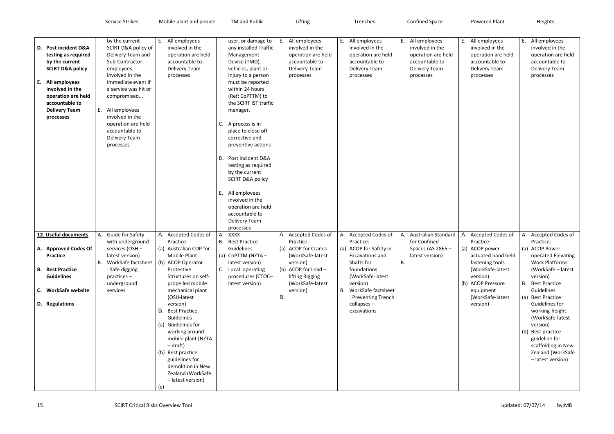|                                                                                                                                                                                                                  | Service Strikes                                                                                                                                                                                                                                                                        | Mobile plant and people                                                                                                                                                                                                                                                                                                                                                                                                                    | TM and Public                                                                                                                                                                                                                                                                                                                                                                                                                                                                                                    | Lifting                                                                                                                                                                  | Trenches                                                                                                                                                                                                                           | <b>Confined Space</b>                                                                                     | <b>Powered Plant</b>                                                                                                                                                                           | Heights                                                                                                                                                                                                                                                                                                                                                                      |
|------------------------------------------------------------------------------------------------------------------------------------------------------------------------------------------------------------------|----------------------------------------------------------------------------------------------------------------------------------------------------------------------------------------------------------------------------------------------------------------------------------------|--------------------------------------------------------------------------------------------------------------------------------------------------------------------------------------------------------------------------------------------------------------------------------------------------------------------------------------------------------------------------------------------------------------------------------------------|------------------------------------------------------------------------------------------------------------------------------------------------------------------------------------------------------------------------------------------------------------------------------------------------------------------------------------------------------------------------------------------------------------------------------------------------------------------------------------------------------------------|--------------------------------------------------------------------------------------------------------------------------------------------------------------------------|------------------------------------------------------------------------------------------------------------------------------------------------------------------------------------------------------------------------------------|-----------------------------------------------------------------------------------------------------------|------------------------------------------------------------------------------------------------------------------------------------------------------------------------------------------------|------------------------------------------------------------------------------------------------------------------------------------------------------------------------------------------------------------------------------------------------------------------------------------------------------------------------------------------------------------------------------|
|                                                                                                                                                                                                                  |                                                                                                                                                                                                                                                                                        |                                                                                                                                                                                                                                                                                                                                                                                                                                            |                                                                                                                                                                                                                                                                                                                                                                                                                                                                                                                  |                                                                                                                                                                          |                                                                                                                                                                                                                                    |                                                                                                           |                                                                                                                                                                                                |                                                                                                                                                                                                                                                                                                                                                                              |
| D. Post incident D&A<br>testing as required<br>by the current<br><b>SCIRT D&amp;A policy</b><br>E. All employees<br>involved in the<br>operation are held<br>accountable to<br><b>Delivery Team</b><br>processes | by the current<br>SCIRT D&A policy of<br>Delivery Team and<br>Sub-Contractor<br>employees<br>involved in the<br>immediate event if<br>a service was hit or<br>compromised<br>E. All employees<br>involved in the<br>operation are held<br>accountable to<br>Delivery Team<br>processes | All employees<br>Е.<br>involved in the<br>operation are held<br>accountable to<br>Delivery Team<br>processes                                                                                                                                                                                                                                                                                                                               | user, or damage to<br>any installed Traffic<br>Management<br>Device (TMD),<br>vehicles, plant or<br>injury to a person<br>must be reported<br>within 24 hours<br>(Ref: CoPTTM) to<br>the SCIRT IST traffic<br>manager.<br>C.<br>A process is in<br>place to close off<br>corrective and<br>preventive actions<br>D. Post incident D&A<br>testing as required<br>by the current<br><b>SCIRT D&amp;A policy</b><br>All employees<br>Ε.<br>involved in the<br>operation are held<br>accountable to<br>Delivery Team | E. All employees<br>involved in the<br>operation are held<br>accountable to<br>Delivery Team<br>processes                                                                | E. All employees<br>involved in the<br>operation are held<br>accountable to<br>Delivery Team<br>processes                                                                                                                          | E. All employees<br>involved in the<br>operation are held<br>accountable to<br>Delivery Team<br>processes | E. All employees<br>involved in the<br>operation are held<br>accountable to<br>Delivery Team<br>processes                                                                                      | E. All employees<br>involved in the<br>operation are held<br>accountable to<br>Delivery Team<br>processes                                                                                                                                                                                                                                                                    |
| 12. Useful documents<br>A. Approved Codes Of<br><b>Practice</b><br><b>B.</b> Best Practice<br><b>Guidelines</b><br>C. WorkSafe website<br>D. Regulations                                                         | A. Guide for Safety<br>with underground<br>services (OSH -<br>latest version)<br>B. WorkSafe factsheet<br>: Safe digging<br>practices-<br>underground<br>services                                                                                                                      | A. Accepted Codes of<br>Practice:<br>(a) Australian COP for<br>Mobile Plant<br>(b) ACOP Operator<br>Protective<br>Structures on self-<br>propelled mobile<br>mechanical plant<br>(OSH-latest<br>version)<br><b>B.</b> Best Practice<br>Guidelines<br>(a) Guidelines for<br>working around<br>mobile plant (NZTA<br>$-$ draft)<br>(b) Best practice<br>guidelines for<br>demolition in New<br>Zealand (WorkSafe<br>- latest version)<br>(c) | processes<br>A. XXXX<br><b>B.</b> Best Practice<br>Guidelines<br>(a) CoPTTM (NZTA -<br>latest version)<br>C. Local operating<br>procedures (CTOC-<br>latest version)                                                                                                                                                                                                                                                                                                                                             | A. Accepted Codes of<br>Practice:<br>(a) ACOP for Cranes<br>(WorkSafe-latest<br>version)<br>(b) ACOP for Load -<br>lifting Rigging<br>(WorkSafe-latest<br>version)<br>В. | A. Accepted Codes of<br>Practice:<br>(a) ACOP for Safety in<br><b>Excavations and</b><br>Shafts for<br>foundations<br>(WorkSafe-latest<br>version)<br>B. WorkSafe factsheet<br>: Preventing Trench<br>$collapses -$<br>excavations | A. Australian Standard<br>for Confined<br>Spaces (AS 2865 -<br>latest version)<br>В.                      | A. Accepted Codes of<br>Practice:<br>(a) ACOP power<br>actuated hand held<br>fastening tools<br>(WorkSafe-latest<br>version)<br>(b) ACOP Pressure<br>equipment<br>(WorkSafe-latest<br>version) | A. Accepted Codes of<br>Practice:<br>(a) ACOP Power<br>operated Elevating<br><b>Work Platforms</b><br>(WorkSafe - latest<br>version)<br><b>B.</b> Best Practice<br>Guidelines<br>(a) Best Practice<br>Guidelines for<br>working-height<br>(WorkSafe-latest<br>version)<br>(b) Best practice<br>guideline for<br>scaffolding in New<br>Zealand (WorkSafe<br>- latest version) |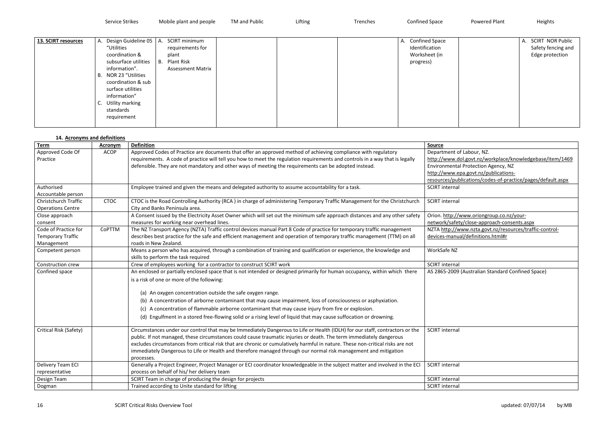Service Strikes Mobile plant and people TM and Public Lifting Lifting Trenches Confined Space Powered Plant Heights

| 13. SCIRT resources | Design Guideline 05<br>А.<br>"Utilities<br>coordination &<br>subsurface utilities<br>information".<br>NOR 23 "Utilities<br>В.<br>coordination & sub<br>surface utilities<br>information"<br>Utility marking<br>C.<br>standards | A. SCIRT minimum<br>requirements for<br>plant<br><b>B.</b> Plant Risk<br><b>Assessment Matrix</b> |  | A. Confined Space<br>Identification<br>Worksheet (in<br>progress) |
|---------------------|--------------------------------------------------------------------------------------------------------------------------------------------------------------------------------------------------------------------------------|---------------------------------------------------------------------------------------------------|--|-------------------------------------------------------------------|
|                     | requirement                                                                                                                                                                                                                    |                                                                                                   |  |                                                                   |

| А. | <b>SCIRT NOR Public</b><br>Safety fencing and<br>Edge protection |
|----|------------------------------------------------------------------|
|    |                                                                  |

### **14. Acronyms and definitions**

| <u>Source</u>                                               |
|-------------------------------------------------------------|
| Department of Labour, NZ.                                   |
| http://www.dol.govt.nz/workplace/knowledgebase/item/1469    |
| Environmental Protection Agency, NZ                         |
| http://www.epa.govt.nz/publications-                        |
| resources/publications/codes-of-practice/pages/default.aspx |
| <b>SCIRT</b> internal                                       |
|                                                             |
| <b>SCIRT</b> internal                                       |
|                                                             |
| Orion. http://www.oriongroup.co.nz/your-                    |
| network/safety/close-approach-consents.aspx                 |
| NZTA http://www.nzta.govt.nz/resources/traffic-control-     |
| devices-manual/definitions.html#r                           |
|                                                             |
| WorkSafe NZ                                                 |
|                                                             |
| <b>SCIRT</b> internal                                       |
| AS 2865-2009 (Australian Standard Confined Space)           |
|                                                             |
|                                                             |
|                                                             |
|                                                             |
|                                                             |
|                                                             |
|                                                             |
| <b>SCIRT</b> internal                                       |
|                                                             |
|                                                             |
|                                                             |

| 27. ACTON , MIS GITG GENERAL A |             |                                                                                                                                |                             |
|--------------------------------|-------------|--------------------------------------------------------------------------------------------------------------------------------|-----------------------------|
| <b>Term</b>                    | Acronym     | <b>Definition</b>                                                                                                              | <b>Source</b>               |
| Approved Code Of               | <b>ACOP</b> | Approved Codes of Practice are documents that offer an approved method of achieving compliance with regulatory                 | Department of Labour, NZ.   |
| Practice                       |             | requirements. A code of practice will tell you how to meet the regulation requirements and controls in a way that is legally   | http://www.dol.govt.nz/wo   |
|                                |             | defensible. They are not mandatory and other ways of meeting the requirements can be adopted instead.                          | Environmental Protection A  |
|                                |             |                                                                                                                                | http://www.epa.govt.nz/pu   |
|                                |             |                                                                                                                                | resources/publications/cod  |
| Authorised                     |             | Employee trained and given the means and delegated authority to assume accountability for a task.                              | <b>SCIRT</b> internal       |
| Accountable person             |             |                                                                                                                                |                             |
| Christchurch Traffic           | <b>CTOC</b> | CTOC is the Road Controlling Authority (RCA) in charge of administering Temporary Traffic Management for the Christchurch      | <b>SCIRT</b> internal       |
| <b>Operations Centre</b>       |             | City and Banks Peninsula area.                                                                                                 |                             |
| Close approach                 |             | A Consent issued by the Electricity Asset Owner which will set out the minimum safe approach distances and any other safety    | Orion. http://www.oriongro  |
| consent                        |             | measures for working near overhead lines.                                                                                      | network/safety/close-appro  |
| Code of Practice for           | CoPTTM      | The NZ Transport Agency (NZTA) Traffic control devices manual Part 8 Code of practice for temporary traffic management         | NZTA http://www.nzta.gov    |
| Temporary Traffic              |             | describes best practice for the safe and efficient management and operation of temporary traffic management (TTM) on all       | devices-manual/definitions  |
| Management                     |             | roads in New Zealand.                                                                                                          |                             |
| Competent person               |             | Means a person who has acquired, through a combination of training and qualification or experience, the knowledge and          | WorkSafe NZ                 |
|                                |             | skills to perform the task required                                                                                            |                             |
| Construction crew              |             | Crew of employees working for a contractor to construct SCIRT work                                                             | <b>SCIRT</b> internal       |
| Confined space                 |             | An enclosed or partially enclosed space that is not intended or designed primarily for human occupancy, within which there     | AS 2865-2009 (Australian St |
|                                |             | is a risk of one or more of the following:                                                                                     |                             |
|                                |             |                                                                                                                                |                             |
|                                |             | (a) An oxygen concentration outside the safe oxygen range.                                                                     |                             |
|                                |             | (b) A concentration of airborne contaminant that may cause impairment, loss of consciousness or asphyxiation.                  |                             |
|                                |             | (c) A concentration of flammable airborne contaminant that may cause injury from fire or explosion.                            |                             |
|                                |             | (d) Engulfment in a stored free-flowing solid or a rising level of liquid that may cause suffocation or drowning.              |                             |
|                                |             |                                                                                                                                |                             |
| Critical Risk (Safety)         |             | Circumstances under our control that may be Immediately Dangerous to Life or Health (IDLH) for our staff, contractors or the   | <b>SCIRT</b> internal       |
|                                |             | public. If not managed, these circumstances could cause traumatic injuries or death. The term immediately dangerous            |                             |
|                                |             | excludes circumstances from critical risk that are chronic or cumulatively harmful in nature. These non-critical risks are not |                             |
|                                |             | immediately Dangerous to Life or Health and therefore managed through our normal risk management and mitigation                |                             |
|                                |             | processes.                                                                                                                     |                             |
| Delivery Team ECI              |             | Generally a Project Engineer, Project Manager or ECI coordinator knowledgeable in the subject matter and involved in the ECI   | <b>SCIRT</b> internal       |
| representative                 |             | process on behalf of his/ her delivery team                                                                                    |                             |
| Design Team                    |             | SCIRT Team in charge of producing the design for projects                                                                      | <b>SCIRT</b> internal       |
| Dogman                         |             | Trained according to Unite standard for lifting                                                                                | <b>SCIRT</b> internal       |
|                                |             |                                                                                                                                |                             |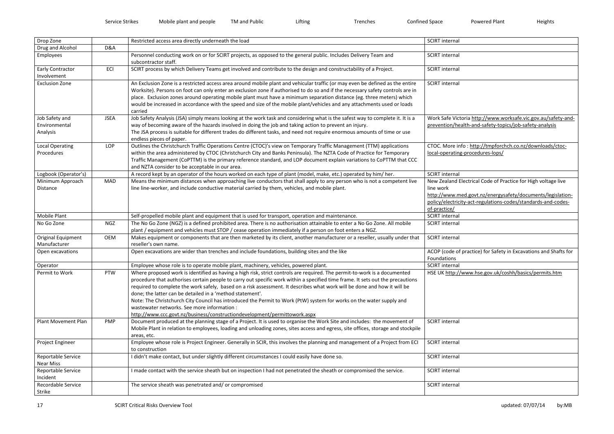| SCIRT Internal                                                          |
|-------------------------------------------------------------------------|
|                                                                         |
| <b>SCIRT</b> internal                                                   |
|                                                                         |
| <b>SCIRT</b> internal                                                   |
| <b>SCIRT</b> internal                                                   |
|                                                                         |
|                                                                         |
|                                                                         |
|                                                                         |
| Work Safe Victoria http://www.worksafe.vic.gov.au/safety-and-           |
| prevention/health-and-safety-topics/job-safety-analysis                 |
|                                                                         |
|                                                                         |
| CTOC. More info: http://tmpforchch.co.nz/downloads/ctoc-                |
| local-operating-procedures-lops/                                        |
|                                                                         |
|                                                                         |
| <b>SCIRT</b> internal                                                   |
| New Zealand Electrical Code of Practice for High voltage live           |
| line work<br>http://www.med.govt.nz/energysafety/documents/legislation- |
| policy/electricity-act-regulations-codes/standards-and-codes-           |
| of-practice/                                                            |
| <b>SCIRT</b> internal                                                   |
| <b>SCIRT</b> internal                                                   |
|                                                                         |
| <b>SCIRT</b> internal                                                   |
|                                                                         |
| ACOP (code of practice) for Safety in Excavations and Shafts for        |
| Foundations                                                             |
| <b>SCIRT</b> internal                                                   |
| HSE UK http://www.hse.gov.uk/coshh/basics/permits.htm                   |
|                                                                         |
|                                                                         |
|                                                                         |
|                                                                         |
|                                                                         |
| <b>SCIRT</b> internal                                                   |
|                                                                         |
|                                                                         |
| <b>SCIRT</b> internal                                                   |
|                                                                         |
| <b>SCIRT</b> internal                                                   |
|                                                                         |
| <b>SCIRT</b> internal                                                   |
|                                                                         |
| <b>SCIRT</b> internal                                                   |
|                                                                         |

| Drop Zone                                   |                | Restricted access area directly underneath the load                                                                                                                                                                                                                                                                                                                                                                                                                                                                                                                                                                                                                                                      | <b>SCIRT</b> internal                                                                                                                                                                                                     |
|---------------------------------------------|----------------|----------------------------------------------------------------------------------------------------------------------------------------------------------------------------------------------------------------------------------------------------------------------------------------------------------------------------------------------------------------------------------------------------------------------------------------------------------------------------------------------------------------------------------------------------------------------------------------------------------------------------------------------------------------------------------------------------------|---------------------------------------------------------------------------------------------------------------------------------------------------------------------------------------------------------------------------|
| Drug and Alcohol                            | <b>D&amp;A</b> |                                                                                                                                                                                                                                                                                                                                                                                                                                                                                                                                                                                                                                                                                                          |                                                                                                                                                                                                                           |
| Employees                                   |                | Personnel conducting work on or for SCIRT projects, as opposed to the general public. Includes Delivery Team and<br>subcontractor staff.                                                                                                                                                                                                                                                                                                                                                                                                                                                                                                                                                                 | <b>SCIRT</b> internal                                                                                                                                                                                                     |
| <b>Early Contractor</b>                     | ECI            | SCIRT process by which Delivery Teams get involved and contribute to the design and constructability of a Project.                                                                                                                                                                                                                                                                                                                                                                                                                                                                                                                                                                                       | <b>SCIRT</b> internal                                                                                                                                                                                                     |
| Involvement                                 |                |                                                                                                                                                                                                                                                                                                                                                                                                                                                                                                                                                                                                                                                                                                          |                                                                                                                                                                                                                           |
| <b>Exclusion Zone</b>                       |                | An Exclusion Zone is a restricted access area around mobile plant and vehicular traffic (or may even be defined as the entire<br>Worksite). Persons on foot can only enter an exclusion zone if authorised to do so and if the necessary safety controls are in<br>place. Exclusion zones around operating mobile plant must have a minimum separation distance (eg. three meters) which<br>would be increased in accordance with the speed and size of the mobile plant/vehicles and any attachments used or loads<br>carried                                                                                                                                                                           | <b>SCIRT</b> internal                                                                                                                                                                                                     |
| Job Safety and<br>Environmental<br>Analysis | <b>JSEA</b>    | Job Safety Analysis (JSA) simply means looking at the work task and considering what is the safest way to complete it. It is a<br>way of becoming aware of the hazards involved in doing the job and taking action to prevent an injury.<br>The JSA process is suitable for different trades do different tasks, and need not require enormous amounts of time or use<br>endless pieces of paper.                                                                                                                                                                                                                                                                                                        | Work Safe Victoria http://www.worksafe.vic.gov.au/safety-and<br>prevention/health-and-safety-topics/job-safety-analysis                                                                                                   |
| <b>Local Operating</b><br>Procedures        | LOP            | Outlines the Christchurch Traffic Operations Centre (CTOC)'s view on Temporary Traffic Management (TTM) applications<br>within the area administered by CTOC (Christchurch City and Banks Peninsula). The NZTA Code of Practice for Temporary<br>Traffic Management (CoPTTM) is the primary reference standard, and LOP document explain variations to CoPTTM that CCC<br>and NZTA consider to be acceptable in our area.                                                                                                                                                                                                                                                                                | CTOC. More info: http://tmpforchch.co.nz/downloads/ctoc-<br>local-operating-procedures-lops/                                                                                                                              |
| Logbook (Operator's)                        |                | A record kept by an operator of the hours worked on each type of plant (model, make, etc.) operated by him/her.                                                                                                                                                                                                                                                                                                                                                                                                                                                                                                                                                                                          | <b>SCIRT</b> internal                                                                                                                                                                                                     |
| Minimum Approach<br>Distance                | MAD            | Means the minimum distances when approaching live conductors that shall apply to any person who is not a competent live<br>line line-worker, and include conductive material carried by them, vehicles, and mobile plant.                                                                                                                                                                                                                                                                                                                                                                                                                                                                                | New Zealand Electrical Code of Practice for High voltage live<br>line work<br>http://www.med.govt.nz/energysafety/documents/legislation-<br>policy/electricity-act-regulations-codes/standards-and-codes-<br>of-practice/ |
| <b>Mobile Plant</b>                         |                | Self-propelled mobile plant and equipment that is used for transport, operation and maintenance.                                                                                                                                                                                                                                                                                                                                                                                                                                                                                                                                                                                                         | <b>SCIRT</b> internal                                                                                                                                                                                                     |
| No Go Zone                                  | <b>NGZ</b>     | The No Go Zone (NGZ) is a defined prohibited area. There is no authorisation attainable to enter a No Go Zone. All mobile                                                                                                                                                                                                                                                                                                                                                                                                                                                                                                                                                                                | <b>SCIRT</b> internal                                                                                                                                                                                                     |
|                                             |                | plant / equipment and vehicles must STOP / cease operation immediately if a person on foot enters a NGZ.                                                                                                                                                                                                                                                                                                                                                                                                                                                                                                                                                                                                 |                                                                                                                                                                                                                           |
| Original Equipment<br>Manufacturer          | <b>OEM</b>     | Makes equipment or components that are then marketed by its client, another manufacturer or a reseller, usually under that<br>reseller's own name.                                                                                                                                                                                                                                                                                                                                                                                                                                                                                                                                                       | <b>SCIRT</b> internal                                                                                                                                                                                                     |
| Open excavations                            |                | Open excavations are wider than trenches and include foundations, building sites and the like                                                                                                                                                                                                                                                                                                                                                                                                                                                                                                                                                                                                            | ACOP (code of practice) for Safety in Excavations and Shafts for<br>Foundations                                                                                                                                           |
| Operator                                    |                | Employee whose role is to operate mobile plant, machinery, vehicles, powered plant.                                                                                                                                                                                                                                                                                                                                                                                                                                                                                                                                                                                                                      | <b>SCIRT</b> internal                                                                                                                                                                                                     |
| Permit to Work                              | PTW            | Where proposed work is identified as having a high risk, strict controls are required. The permit-to-work is a documented<br>procedure that authorises certain people to carry out specific work within a specified time frame. It sets out the precautions<br>required to complete the work safely, based on a risk assessment. It describes what work will be done and how it will be<br>done; the latter can be detailed in a 'method statement'.<br>Note: The Christchurch City Council has introduced the Permit to Work (PtW) system for works on the water supply and<br>wastewater networks. See more information :<br>http://www.ccc.govt.nz/business/constructiondevelopment/permittowork.aspx | HSE UK http://www.hse.gov.uk/coshh/basics/permits.htm                                                                                                                                                                     |
| <b>Plant Movement Plan</b>                  | <b>PMP</b>     | Document produced at the planning stage of a Project. It is used to organise the Work Site and includes: the movement of<br>Mobile Plant in relation to employees, loading and unloading zones, sites access and egress, site offices, storage and stockpile<br>areas, etc.                                                                                                                                                                                                                                                                                                                                                                                                                              | <b>SCIRT</b> internal                                                                                                                                                                                                     |
| Project Engineer                            |                | Employee whose role is Project Engineer. Generally in SCIR, this involves the planning and management of a Project from ECI<br>to construction                                                                                                                                                                                                                                                                                                                                                                                                                                                                                                                                                           | <b>SCIRT</b> internal                                                                                                                                                                                                     |
| Reportable Service<br>Near Miss             |                | I didn't make contact, but under slightly different circumstances I could easily have done so.                                                                                                                                                                                                                                                                                                                                                                                                                                                                                                                                                                                                           | <b>SCIRT</b> internal                                                                                                                                                                                                     |
| Reportable Service<br>Incident              |                | I made contact with the service sheath but on inspection I had not penetrated the sheath or compromised the service.                                                                                                                                                                                                                                                                                                                                                                                                                                                                                                                                                                                     | <b>SCIRT</b> internal                                                                                                                                                                                                     |
| Recordable Service<br>Strike                |                | The service sheath was penetrated and/ or compromised                                                                                                                                                                                                                                                                                                                                                                                                                                                                                                                                                                                                                                                    | <b>SCIRT</b> internal                                                                                                                                                                                                     |